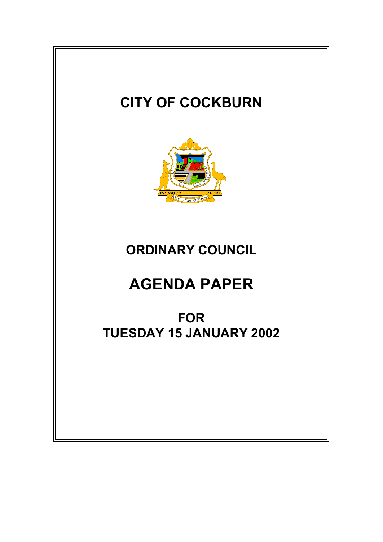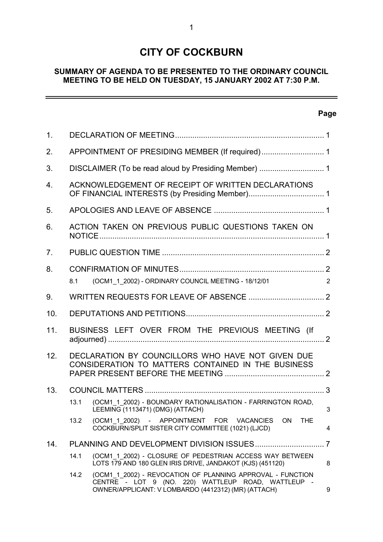# **CITY OF COCKBURN**

# **SUMMARY OF AGENDA TO BE PRESENTED TO THE ORDINARY COUNCIL MEETING TO BE HELD ON TUESDAY, 15 JANUARY 2002 AT 7:30 P.M.**

# **Page**

 $\equiv$ 

| 1 <sub>1</sub> |                                                                                                         |                                                                                                                                                                         |                |
|----------------|---------------------------------------------------------------------------------------------------------|-------------------------------------------------------------------------------------------------------------------------------------------------------------------------|----------------|
| 2.             |                                                                                                         |                                                                                                                                                                         |                |
| 3.             |                                                                                                         |                                                                                                                                                                         |                |
| 4.             |                                                                                                         | ACKNOWLEDGEMENT OF RECEIPT OF WRITTEN DECLARATIONS                                                                                                                      |                |
| 5.             |                                                                                                         |                                                                                                                                                                         |                |
| 6.             |                                                                                                         | ACTION TAKEN ON PREVIOUS PUBLIC QUESTIONS TAKEN ON                                                                                                                      |                |
| 7.             |                                                                                                         |                                                                                                                                                                         |                |
| 8.             |                                                                                                         |                                                                                                                                                                         |                |
|                | 8.1                                                                                                     | (OCM1 1 2002) - ORDINARY COUNCIL MEETING - 18/12/01                                                                                                                     | $\overline{2}$ |
| 9.             |                                                                                                         |                                                                                                                                                                         |                |
| 10.            |                                                                                                         |                                                                                                                                                                         |                |
| 11.            | BUSINESS LEFT OVER FROM THE PREVIOUS MEETING (If                                                        |                                                                                                                                                                         |                |
| 12.            | DECLARATION BY COUNCILLORS WHO HAVE NOT GIVEN DUE<br>CONSIDERATION TO MATTERS CONTAINED IN THE BUSINESS |                                                                                                                                                                         |                |
| 13.            |                                                                                                         |                                                                                                                                                                         |                |
|                | 13.1                                                                                                    | (OCM1 1 2002) - BOUNDARY RATIONALISATION - FARRINGTON ROAD,<br>LEEMING (1113471) (DMG) (ATTACH)                                                                         | 3              |
|                | 13.2                                                                                                    | (OCM1_1_2002) - APPOINTMENT FOR VACANCIES<br><b>THE</b><br>ON<br>COCKBURN/SPLIT SISTER CITY COMMITTEE (1021) (LJCD)                                                     | 4              |
| 14.            |                                                                                                         |                                                                                                                                                                         | 7              |
|                | 14.1                                                                                                    | (OCM1_1_2002) - CLOSURE OF PEDESTRIAN ACCESS WAY BETWEEN<br>LOTS 179 AND 180 GLEN IRIS DRIVE, JANDAKOT (KJS) (451120)                                                   | 8              |
|                | 14.2                                                                                                    | (OCM1 1 2002) - REVOCATION OF PLANNING APPROVAL - FUNCTION<br>CENTRE - LOT 9 (NO. 220) WATTLEUP ROAD, WATTLEUP -<br>OWNER/APPLICANT: V LOMBARDO (4412312) (MR) (ATTACH) | 9              |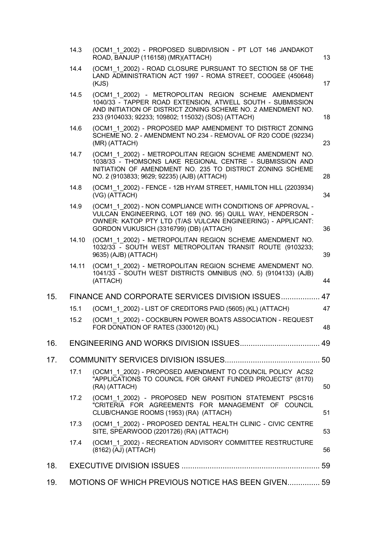|     | 14.3  | (OCM1 1 2002) - PROPOSED SUBDIVISION - PT LOT 146 JANDAKOT<br>ROAD, BANJUP (116158) (MR)(ATTACH)                                                                                                                                          | 13 |
|-----|-------|-------------------------------------------------------------------------------------------------------------------------------------------------------------------------------------------------------------------------------------------|----|
|     | 14.4  | (OCM1 1 2002) - ROAD CLOSURE PURSUANT TO SECTION 58 OF THE<br>LAND ADMINISTRATION ACT 1997 - ROMA STREET, COOGEE (450648)<br>(KJS)                                                                                                        | 17 |
|     | 14.5  | (OCM1 1 2002) - METROPOLITAN REGION SCHEME AMENDMENT<br>1040/33 - TAPPER ROAD EXTENSION, ATWELL SOUTH - SUBMISSION<br>AND INITIATION OF DISTRICT ZONING SCHEME NO. 2 AMENDMENT NO.<br>233 (9104033; 92233; 109802; 115032) (SOS) (ATTACH) | 18 |
|     | 14.6  | (OCM1 1 2002) - PROPOSED MAP AMENDMENT TO DISTRICT ZONING<br>SCHEME NO. 2 - AMENDMENT NO.234 - REMOVAL OF R20 CODE (92234)<br>(MR) (ATTACH)                                                                                               | 23 |
|     | 14.7  | (OCM1 1 2002) - METROPOLITAN REGION SCHEME AMENDMENT NO.<br>1038/33 - THOMSONS LAKE REGIONAL CENTRE - SUBMISSION AND<br>INITIATION OF AMENDMENT NO. 235 TO DISTRICT ZONING SCHEME<br>NO. 2 (9103833; 9629; 92235) (AJB) (ATTACH)          | 28 |
|     | 14.8  | (OCM1 1 2002) - FENCE - 12B HYAM STREET, HAMILTON HILL (2203934)<br>(VG) (ATTACH)                                                                                                                                                         | 34 |
|     | 14.9  | (OCM1 1 2002) - NON COMPLIANCE WITH CONDITIONS OF APPROVAL -<br>VULCAN ENGINEERING, LOT 169 (NO. 95) QUILL WAY, HENDERSON -<br>OWNER: KATOP PTY LTD (T/AS VULCAN ENGINEERING) - APPLICANT:<br>GORDON VUKUSICH (3316799) (DB) (ATTACH)     | 36 |
|     | 14.10 | (OCM1 1 2002) - METROPOLITAN REGION SCHEME AMENDMENT NO.<br>1032/33 - SOUTH WEST METROPOLITAN TRANSIT ROUTE (9103233;<br>9635) (AJB) (ATTACH)                                                                                             | 39 |
|     | 14.11 | (OCM1 1 2002) - METROPOLITAN REGION SCHEME AMENDMENT NO.<br>1041/33 - SOUTH WEST DISTRICTS OMNIBUS (NO. 5) (9104133) (AJB)<br>(ATTACH)                                                                                                    | 44 |
| 15. |       | FINANCE AND CORPORATE SERVICES DIVISION ISSUES 47                                                                                                                                                                                         |    |
|     | 15.1  | (OCM1 1 2002) - LIST OF CREDITORS PAID (5605) (KL) (ATTACH)                                                                                                                                                                               | 47 |
|     | 15.2  | (OCM1 1 2002) - COCKBURN POWER BOATS ASSOCIATION - REQUEST<br>FOR DONATION OF RATES (3300120) (KL)                                                                                                                                        | 48 |
| 16. |       |                                                                                                                                                                                                                                           |    |
| 17. |       |                                                                                                                                                                                                                                           |    |
|     | 17.1  | (OCM1_1_2002) - PROPOSED AMENDMENT TO COUNCIL POLICY ACS2<br>"APPLICATIONS TO COUNCIL FOR GRANT FUNDED PROJECTS" (8170)<br>(RA) (ATTACH)                                                                                                  | 50 |
|     | 17.2  | (OCM1 1 2002) - PROPOSED NEW POSITION STATEMENT PSCS16<br>"CRITERIA FOR AGREEMENTS FOR MANAGEMENT OF COUNCIL<br>CLUB/CHANGE ROOMS (1953) (RA) (ATTACH)                                                                                    | 51 |
|     | 17.3  | (OCM1 1 2002) - PROPOSED DENTAL HEALTH CLINIC - CIVIC CENTRE<br>SITE, SPEARWOOD (2201726) (RA) (ATTACH)                                                                                                                                   | 53 |
|     | 17.4  | (OCM1 1 2002) - RECREATION ADVISORY COMMITTEE RESTRUCTURE<br>(8162) (AJ) (ATTACH)                                                                                                                                                         | 56 |
| 18. |       |                                                                                                                                                                                                                                           |    |
| 19. |       | MOTIONS OF WHICH PREVIOUS NOTICE HAS BEEN GIVEN 59                                                                                                                                                                                        |    |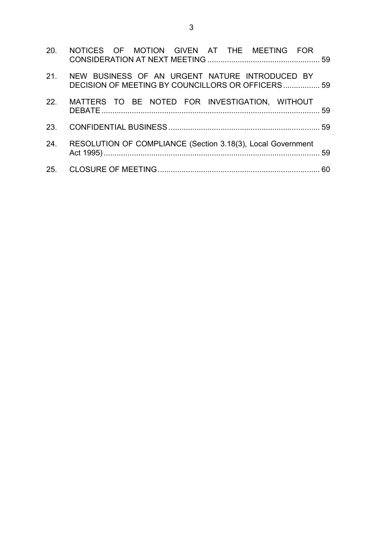| 20. NOTICES OF MOTION GIVEN AT THE MEETING FOR                                                          |  |
|---------------------------------------------------------------------------------------------------------|--|
| 21. NEW BUSINESS OF AN URGENT NATURE INTRODUCED BY<br>DECISION OF MEETING BY COUNCILLORS OR OFFICERS 59 |  |
| 22. MATTERS TO BE NOTED FOR INVESTIGATION, WITHOUT                                                      |  |
|                                                                                                         |  |
| 24. RESOLUTION OF COMPLIANCE (Section 3.18(3), Local Government                                         |  |
|                                                                                                         |  |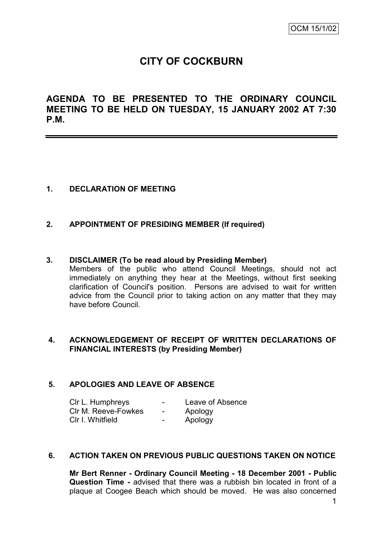# **CITY OF COCKBURN**

**AGENDA TO BE PRESENTED TO THE ORDINARY COUNCIL MEETING TO BE HELD ON TUESDAY, 15 JANUARY 2002 AT 7:30 P.M.**

## **1. DECLARATION OF MEETING**

## **2. APPOINTMENT OF PRESIDING MEMBER (If required)**

#### **3. DISCLAIMER (To be read aloud by Presiding Member)**

Members of the public who attend Council Meetings, should not act immediately on anything they hear at the Meetings, without first seeking clarification of Council's position. Persons are advised to wait for written advice from the Council prior to taking action on any matter that they may have before Council.

## **4. ACKNOWLEDGEMENT OF RECEIPT OF WRITTEN DECLARATIONS OF FINANCIAL INTERESTS (by Presiding Member)**

## **5. APOLOGIES AND LEAVE OF ABSENCE**

| CIr L. Humphreys    | ۰.                       | Leave of Absence |
|---------------------|--------------------------|------------------|
| CIr M. Reeve-Fowkes | $\sim$                   | Apology          |
| CIr I. Whitfield    | $\overline{\phantom{0}}$ | Apology          |

### **6. ACTION TAKEN ON PREVIOUS PUBLIC QUESTIONS TAKEN ON NOTICE**

**Mr Bert Renner - Ordinary Council Meeting - 18 December 2001 - Public Question Time -** advised that there was a rubbish bin located in front of a plaque at Coogee Beach which should be moved. He was also concerned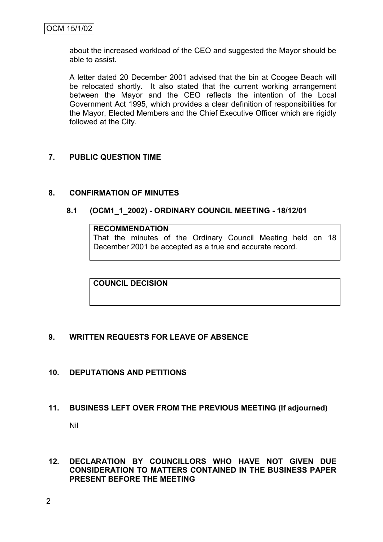about the increased workload of the CEO and suggested the Mayor should be able to assist.

A letter dated 20 December 2001 advised that the bin at Coogee Beach will be relocated shortly. It also stated that the current working arrangement between the Mayor and the CEO reflects the intention of the Local Government Act 1995, which provides a clear definition of responsibilities for the Mayor, Elected Members and the Chief Executive Officer which are rigidly followed at the City.

## **7. PUBLIC QUESTION TIME**

## **8. CONFIRMATION OF MINUTES**

## **8.1 (OCM1\_1\_2002) - ORDINARY COUNCIL MEETING - 18/12/01**

#### **RECOMMENDATION**

That the minutes of the Ordinary Council Meeting held on 18 December 2001 be accepted as a true and accurate record.

**COUNCIL DECISION**

# **9. WRITTEN REQUESTS FOR LEAVE OF ABSENCE**

**10. DEPUTATIONS AND PETITIONS**

# **11. BUSINESS LEFT OVER FROM THE PREVIOUS MEETING (If adjourned)**

Nil

## **12. DECLARATION BY COUNCILLORS WHO HAVE NOT GIVEN DUE CONSIDERATION TO MATTERS CONTAINED IN THE BUSINESS PAPER PRESENT BEFORE THE MEETING**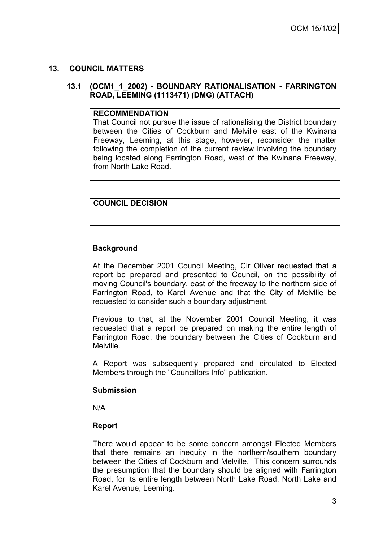## **13. COUNCIL MATTERS**

## **13.1 (OCM1\_1\_2002) - BOUNDARY RATIONALISATION - FARRINGTON ROAD, LEEMING (1113471) (DMG) (ATTACH)**

#### **RECOMMENDATION**

That Council not pursue the issue of rationalising the District boundary between the Cities of Cockburn and Melville east of the Kwinana Freeway, Leeming, at this stage, however, reconsider the matter following the completion of the current review involving the boundary being located along Farrington Road, west of the Kwinana Freeway, from North Lake Road.

# **COUNCIL DECISION**

# **Background**

At the December 2001 Council Meeting, Clr Oliver requested that a report be prepared and presented to Council, on the possibility of moving Council's boundary, east of the freeway to the northern side of Farrington Road, to Karel Avenue and that the City of Melville be requested to consider such a boundary adjustment.

Previous to that, at the November 2001 Council Meeting, it was requested that a report be prepared on making the entire length of Farrington Road, the boundary between the Cities of Cockburn and Melville.

A Report was subsequently prepared and circulated to Elected Members through the "Councillors Info" publication.

## **Submission**

N/A

## **Report**

There would appear to be some concern amongst Elected Members that there remains an inequity in the northern/southern boundary between the Cities of Cockburn and Melville. This concern surrounds the presumption that the boundary should be aligned with Farrington Road, for its entire length between North Lake Road, North Lake and Karel Avenue, Leeming.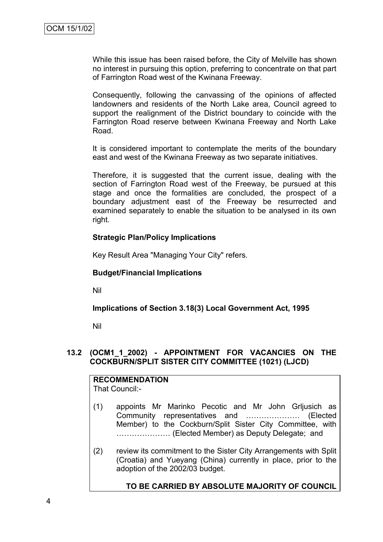While this issue has been raised before, the City of Melville has shown no interest in pursuing this option, preferring to concentrate on that part of Farrington Road west of the Kwinana Freeway.

Consequently, following the canvassing of the opinions of affected landowners and residents of the North Lake area, Council agreed to support the realignment of the District boundary to coincide with the Farrington Road reserve between Kwinana Freeway and North Lake Road.

It is considered important to contemplate the merits of the boundary east and west of the Kwinana Freeway as two separate initiatives.

Therefore, it is suggested that the current issue, dealing with the section of Farrington Road west of the Freeway, be pursued at this stage and once the formalities are concluded, the prospect of a boundary adjustment east of the Freeway be resurrected and examined separately to enable the situation to be analysed in its own right.

#### **Strategic Plan/Policy Implications**

Key Result Area "Managing Your City" refers.

#### **Budget/Financial Implications**

Nil

## **Implications of Section 3.18(3) Local Government Act, 1995**

Nil

## **13.2 (OCM1\_1\_2002) - APPOINTMENT FOR VACANCIES ON THE COCKBURN/SPLIT SISTER CITY COMMITTEE (1021) (LJCD)**

#### **RECOMMENDATION** That Council:-

- (1) appoints Mr Marinko Pecotic and Mr John Grljusich as Community representatives and ………………… (Elected Member) to the Cockburn/Split Sister City Committee, with ………………… (Elected Member) as Deputy Delegate; and
- (2) review its commitment to the Sister City Arrangements with Split (Croatia) and Yueyang (China) currently in place, prior to the adoption of the 2002/03 budget.

## **TO BE CARRIED BY ABSOLUTE MAJORITY OF COUNCIL**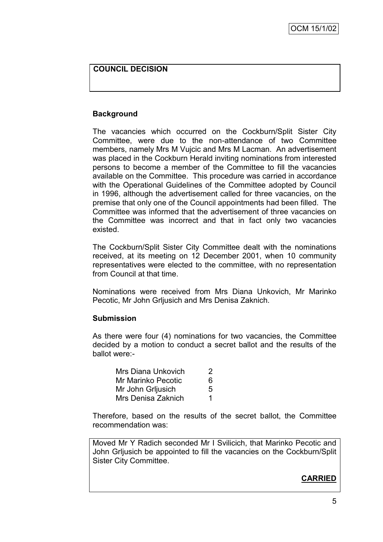## **COUNCIL DECISION**

## **Background**

The vacancies which occurred on the Cockburn/Split Sister City Committee, were due to the non-attendance of two Committee members, namely Mrs M Vujcic and Mrs M Lacman. An advertisement was placed in the Cockburn Herald inviting nominations from interested persons to become a member of the Committee to fill the vacancies available on the Committee. This procedure was carried in accordance with the Operational Guidelines of the Committee adopted by Council in 1996, although the advertisement called for three vacancies, on the premise that only one of the Council appointments had been filled. The Committee was informed that the advertisement of three vacancies on the Committee was incorrect and that in fact only two vacancies existed.

The Cockburn/Split Sister City Committee dealt with the nominations received, at its meeting on 12 December 2001, when 10 community representatives were elected to the committee, with no representation from Council at that time.

Nominations were received from Mrs Diana Unkovich, Mr Marinko Pecotic, Mr John Grljusich and Mrs Denisa Zaknich.

#### **Submission**

As there were four (4) nominations for two vacancies, the Committee decided by a motion to conduct a secret ballot and the results of the ballot were:-

| Mrs Diana Unkovich        |   |
|---------------------------|---|
| <b>Mr Marinko Pecotic</b> | 6 |
| Mr John Grijusich         |   |
| Mrs Denisa Zaknich        |   |

Therefore, based on the results of the secret ballot, the Committee recommendation was:

Moved Mr Y Radich seconded Mr I Svilicich, that Marinko Pecotic and John Grljusich be appointed to fill the vacancies on the Cockburn/Split Sister City Committee.

# **CARRIED**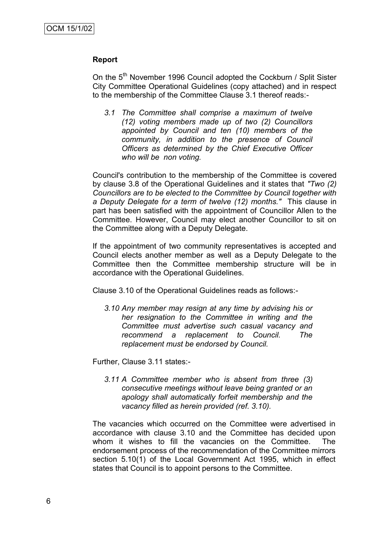#### **Report**

On the 5<sup>th</sup> November 1996 Council adopted the Cockburn / Split Sister City Committee Operational Guidelines (copy attached) and in respect to the membership of the Committee Clause 3.1 thereof reads:-

*3.1 The Committee shall comprise a maximum of twelve (12) voting members made up of two (2) Councillors appointed by Council and ten (10) members of the community, in addition to the presence of Council Officers as determined by the Chief Executive Officer who will be non voting.*

Council's contribution to the membership of the Committee is covered by clause 3.8 of the Operational Guidelines and it states that *"Two (2) Councillors are to be elected to the Committee by Council together with a Deputy Delegate for a term of twelve (12) months."* This clause in part has been satisfied with the appointment of Councillor Allen to the Committee. However, Council may elect another Councillor to sit on the Committee along with a Deputy Delegate.

If the appointment of two community representatives is accepted and Council elects another member as well as a Deputy Delegate to the Committee then the Committee membership structure will be in accordance with the Operational Guidelines.

Clause 3.10 of the Operational Guidelines reads as follows:-

*3.10 Any member may resign at any time by advising his or her resignation to the Committee in writing and the Committee must advertise such casual vacancy and recommend a replacement to Council. The replacement must be endorsed by Council.*

Further, Clause 3.11 states:-

*3.11 A Committee member who is absent from three (3) consecutive meetings without leave being granted or an apology shall automatically forfeit membership and the vacancy filled as herein provided (ref. 3.10).*

The vacancies which occurred on the Committee were advertised in accordance with clause 3.10 and the Committee has decided upon whom it wishes to fill the vacancies on the Committee. The endorsement process of the recommendation of the Committee mirrors section 5.10(1) of the Local Government Act 1995, which in effect states that Council is to appoint persons to the Committee.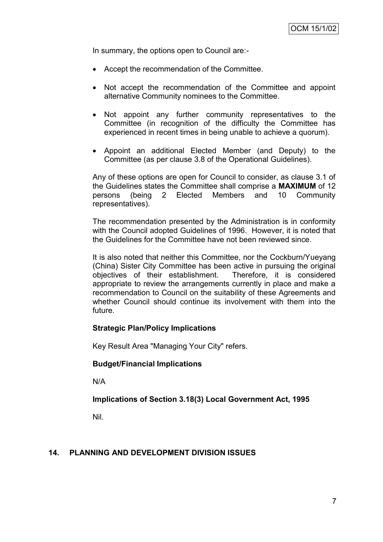In summary, the options open to Council are:-

- Accept the recommendation of the Committee.
- Not accept the recommendation of the Committee and appoint alternative Community nominees to the Committee.
- Not appoint any further community representatives to the Committee (in recognition of the difficulty the Committee has experienced in recent times in being unable to achieve a quorum).
- Appoint an additional Elected Member (and Deputy) to the Committee (as per clause 3.8 of the Operational Guidelines).

Any of these options are open for Council to consider, as clause 3.1 of the Guidelines states the Committee shall comprise a **MAXIMUM** of 12 persons (being 2 Elected Members and 10 Community representatives).

The recommendation presented by the Administration is in conformity with the Council adopted Guidelines of 1996. However, it is noted that the Guidelines for the Committee have not been reviewed since.

It is also noted that neither this Committee, nor the Cockburn/Yueyang (China) Sister City Committee has been active in pursuing the original objectives of their establishment. Therefore, it is considered appropriate to review the arrangements currently in place and make a recommendation to Council on the suitability of these Agreements and whether Council should continue its involvement with them into the future.

## **Strategic Plan/Policy Implications**

Key Result Area "Managing Your City" refers.

## **Budget/Financial Implications**

N/A

## **Implications of Section 3.18(3) Local Government Act, 1995**

Nil.

## **14. PLANNING AND DEVELOPMENT DIVISION ISSUES**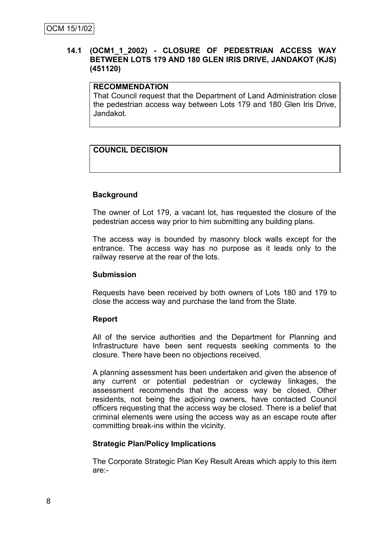## **14.1 (OCM1\_1\_2002) - CLOSURE OF PEDESTRIAN ACCESS WAY BETWEEN LOTS 179 AND 180 GLEN IRIS DRIVE, JANDAKOT (KJS) (451120)**

## **RECOMMENDATION**

That Council request that the Department of Land Administration close the pedestrian access way between Lots 179 and 180 Glen Iris Drive, Jandakot.

# **COUNCIL DECISION**

## **Background**

The owner of Lot 179, a vacant lot, has requested the closure of the pedestrian access way prior to him submitting any building plans.

The access way is bounded by masonry block walls except for the entrance. The access way has no purpose as it leads only to the railway reserve at the rear of the lots.

#### **Submission**

Requests have been received by both owners of Lots 180 and 179 to close the access way and purchase the land from the State.

## **Report**

All of the service authorities and the Department for Planning and Infrastructure have been sent requests seeking comments to the closure. There have been no objections received.

A planning assessment has been undertaken and given the absence of any current or potential pedestrian or cycleway linkages, the assessment recommends that the access way be closed. Other residents, not being the adjoining owners, have contacted Council officers requesting that the access way be closed. There is a belief that criminal elements were using the access way as an escape route after committing break-ins within the vicinity.

## **Strategic Plan/Policy Implications**

The Corporate Strategic Plan Key Result Areas which apply to this item are:-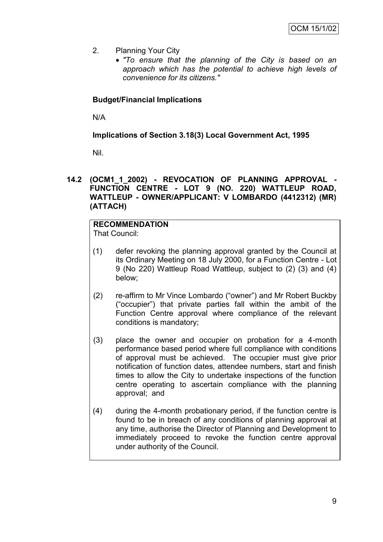- 2. Planning Your City
	- *"To ensure that the planning of the City is based on an approach which has the potential to achieve high levels of convenience for its citizens."*

# **Budget/Financial Implications**

N/A

**Implications of Section 3.18(3) Local Government Act, 1995**

Nil.

## **14.2 (OCM1\_1\_2002) - REVOCATION OF PLANNING APPROVAL - FUNCTION CENTRE - LOT 9 (NO. 220) WATTLEUP ROAD, WATTLEUP - OWNER/APPLICANT: V LOMBARDO (4412312) (MR) (ATTACH)**

# **RECOMMENDATION**

That Council:

- (1) defer revoking the planning approval granted by the Council at its Ordinary Meeting on 18 July 2000, for a Function Centre - Lot 9 (No 220) Wattleup Road Wattleup, subject to (2) (3) and (4) below;
- (2) re-affirm to Mr Vince Lombardo ("owner") and Mr Robert Buckby (―occupier‖) that private parties fall within the ambit of the Function Centre approval where compliance of the relevant conditions is mandatory;
- (3) place the owner and occupier on probation for a 4-month performance based period where full compliance with conditions of approval must be achieved. The occupier must give prior notification of function dates, attendee numbers, start and finish times to allow the City to undertake inspections of the function centre operating to ascertain compliance with the planning approval; and
- (4) during the 4-month probationary period, if the function centre is found to be in breach of any conditions of planning approval at any time, authorise the Director of Planning and Development to immediately proceed to revoke the function centre approval under authority of the Council.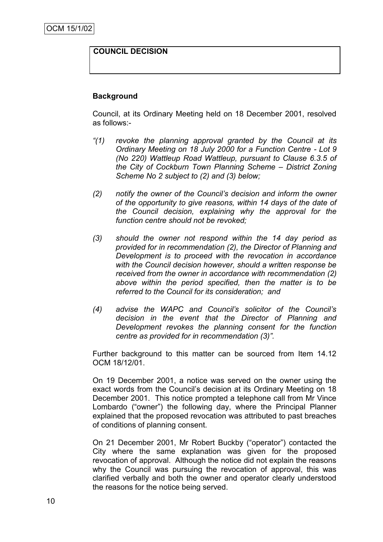## **COUNCIL DECISION**

## **Background**

Council, at its Ordinary Meeting held on 18 December 2001, resolved as follows:-

- *"(1) revoke the planning approval granted by the Council at its Ordinary Meeting on 18 July 2000 for a Function Centre - Lot 9 (No 220) Wattleup Road Wattleup, pursuant to Clause 6.3.5 of the City of Cockburn Town Planning Scheme – District Zoning Scheme No 2 subject to (2) and (3) below;*
- *(2) notify the owner of the Council's decision and inform the owner of the opportunity to give reasons, within 14 days of the date of the Council decision, explaining why the approval for the function centre should not be revoked;*
- *(3) should the owner not respond within the 14 day period as provided for in recommendation (2), the Director of Planning and Development is to proceed with the revocation in accordance with the Council decision however, should a written response be received from the owner in accordance with recommendation (2) above within the period specified, then the matter is to be referred to the Council for its consideration; and*
- *(4) advise the WAPC and Council's solicitor of the Council's decision in the event that the Director of Planning and Development revokes the planning consent for the function centre as provided for in recommendation (3)".*

Further background to this matter can be sourced from Item 14.12 OCM 18/12/01.

On 19 December 2001, a notice was served on the owner using the exact words from the Council's decision at its Ordinary Meeting on 18 December 2001. This notice prompted a telephone call from Mr Vince Lombardo ("owner") the following day, where the Principal Planner explained that the proposed revocation was attributed to past breaches of conditions of planning consent.

On 21 December 2001, Mr Robert Buckby ("operator") contacted the City where the same explanation was given for the proposed revocation of approval. Although the notice did not explain the reasons why the Council was pursuing the revocation of approval, this was clarified verbally and both the owner and operator clearly understood the reasons for the notice being served.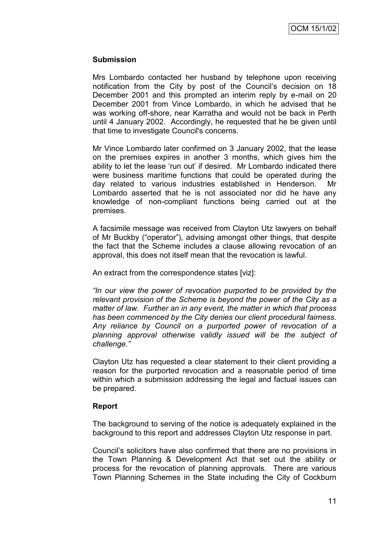### **Submission**

Mrs Lombardo contacted her husband by telephone upon receiving notification from the City by post of the Council's decision on 18 December 2001 and this prompted an interim reply by e-mail on 20 December 2001 from Vince Lombardo, in which he advised that he was working off-shore, near Karratha and would not be back in Perth until 4 January 2002. Accordingly, he requested that he be given until that time to investigate Council's concerns.

Mr Vince Lombardo later confirmed on 3 January 2002, that the lease on the premises expires in another 3 months, which gives him the ability to let the lease 'run out' if desired. Mr Lombardo indicated there were business maritime functions that could be operated during the day related to various industries established in Henderson. Mr Lombardo asserted that he is not associated nor did he have any knowledge of non-compliant functions being carried out at the premises.

A facsimile message was received from Clayton Utz lawyers on behalf of Mr Buckby ("operator"), advising amongst other things, that despite the fact that the Scheme includes a clause allowing revocation of an approval, this does not itself mean that the revocation is lawful.

An extract from the correspondence states [viz]:

*"In our view the power of revocation purported to be provided by the relevant provision of the Scheme is beyond the power of the City as a matter of law. Further an in any event, the matter in which that process has been commenced by the City denies our client procedural fairness. Any reliance by Council on a purported power of revocation of a planning approval otherwise validly issued will be the subject of challenge."*

Clayton Utz has requested a clear statement to their client providing a reason for the purported revocation and a reasonable period of time within which a submission addressing the legal and factual issues can be prepared.

## **Report**

The background to serving of the notice is adequately explained in the background to this report and addresses Clayton Utz response in part.

Council's solicitors have also confirmed that there are no provisions in the Town Planning & Development Act that set out the ability or process for the revocation of planning approvals. There are various Town Planning Schemes in the State including the City of Cockburn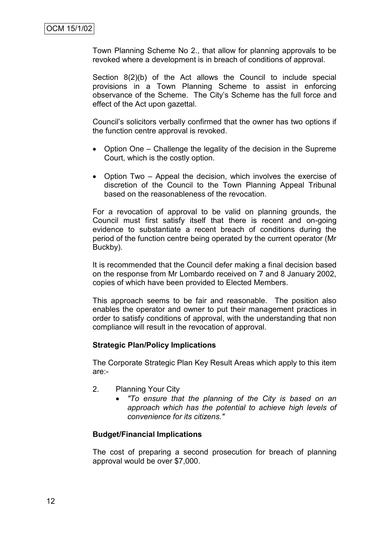Town Planning Scheme No 2., that allow for planning approvals to be revoked where a development is in breach of conditions of approval.

Section 8(2)(b) of the Act allows the Council to include special provisions in a Town Planning Scheme to assist in enforcing observance of the Scheme. The City's Scheme has the full force and effect of the Act upon gazettal.

Council's solicitors verbally confirmed that the owner has two options if the function centre approval is revoked.

- Option One Challenge the legality of the decision in the Supreme Court, which is the costly option.
- Option Two Appeal the decision, which involves the exercise of discretion of the Council to the Town Planning Appeal Tribunal based on the reasonableness of the revocation.

For a revocation of approval to be valid on planning grounds, the Council must first satisfy itself that there is recent and on-going evidence to substantiate a recent breach of conditions during the period of the function centre being operated by the current operator (Mr Buckby).

It is recommended that the Council defer making a final decision based on the response from Mr Lombardo received on 7 and 8 January 2002, copies of which have been provided to Elected Members.

This approach seems to be fair and reasonable. The position also enables the operator and owner to put their management practices in order to satisfy conditions of approval, with the understanding that non compliance will result in the revocation of approval.

## **Strategic Plan/Policy Implications**

The Corporate Strategic Plan Key Result Areas which apply to this item are:-

- 2. Planning Your City
	- *"To ensure that the planning of the City is based on an approach which has the potential to achieve high levels of convenience for its citizens."*

#### **Budget/Financial Implications**

The cost of preparing a second prosecution for breach of planning approval would be over \$7,000.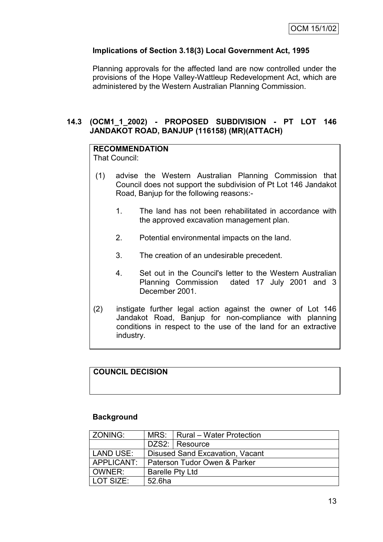# **Implications of Section 3.18(3) Local Government Act, 1995**

Planning approvals for the affected land are now controlled under the provisions of the Hope Valley-Wattleup Redevelopment Act, which are administered by the Western Australian Planning Commission.

## **14.3 (OCM1\_1\_2002) - PROPOSED SUBDIVISION - PT LOT 146 JANDAKOT ROAD, BANJUP (116158) (MR)(ATTACH)**

# **RECOMMENDATION**

That Council:

- (1) advise the Western Australian Planning Commission that Council does not support the subdivision of Pt Lot 146 Jandakot Road, Banjup for the following reasons:-
	- 1. The land has not been rehabilitated in accordance with the approved excavation management plan.
	- 2. Potential environmental impacts on the land.
	- 3. The creation of an undesirable precedent.
	- 4. Set out in the Council's letter to the Western Australian Planning Commission dated 17 July 2001 and 3 December 2001.
- (2) instigate further legal action against the owner of Lot 146 Jandakot Road, Banjup for non-compliance with planning conditions in respect to the use of the land for an extractive industry.

# **COUNCIL DECISION**

#### **Background**

| l ZONING:                                             |                                 | MRS: Rural – Water Protection |  |
|-------------------------------------------------------|---------------------------------|-------------------------------|--|
|                                                       |                                 | DZS2: Resource                |  |
| <b>LAND USE:</b>                                      | Disused Sand Excavation, Vacant |                               |  |
| APPLICANT:<br><b>Paterson Tudor Owen &amp; Parker</b> |                                 |                               |  |
| OWNER:                                                | <b>Barelle Pty Ltd</b>          |                               |  |
| l LOT SIZE:                                           | 52.6ha                          |                               |  |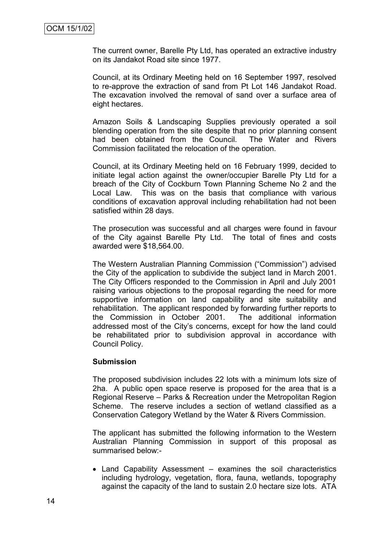The current owner, Barelle Pty Ltd, has operated an extractive industry on its Jandakot Road site since 1977.

Council, at its Ordinary Meeting held on 16 September 1997, resolved to re-approve the extraction of sand from Pt Lot 146 Jandakot Road. The excavation involved the removal of sand over a surface area of eight hectares.

Amazon Soils & Landscaping Supplies previously operated a soil blending operation from the site despite that no prior planning consent had been obtained from the Council. The Water and Rivers Commission facilitated the relocation of the operation.

Council, at its Ordinary Meeting held on 16 February 1999, decided to initiate legal action against the owner/occupier Barelle Pty Ltd for a breach of the City of Cockburn Town Planning Scheme No 2 and the Local Law. This was on the basis that compliance with various conditions of excavation approval including rehabilitation had not been satisfied within 28 days.

The prosecution was successful and all charges were found in favour of the City against Barelle Pty Ltd. The total of fines and costs awarded were \$18,564.00.

The Western Australian Planning Commission ("Commission") advised the City of the application to subdivide the subject land in March 2001. The City Officers responded to the Commission in April and July 2001 raising various objections to the proposal regarding the need for more supportive information on land capability and site suitability and rehabilitation. The applicant responded by forwarding further reports to the Commission in October 2001. The additional information addressed most of the City's concerns, except for how the land could be rehabilitated prior to subdivision approval in accordance with Council Policy.

#### **Submission**

The proposed subdivision includes 22 lots with a minimum lots size of 2ha. A public open space reserve is proposed for the area that is a Regional Reserve – Parks & Recreation under the Metropolitan Region Scheme. The reserve includes a section of wetland classified as a Conservation Category Wetland by the Water & Rivers Commission.

The applicant has submitted the following information to the Western Australian Planning Commission in support of this proposal as summarised below:-

• Land Capability Assessment – examines the soil characteristics including hydrology, vegetation, flora, fauna, wetlands, topography against the capacity of the land to sustain 2.0 hectare size lots. ATA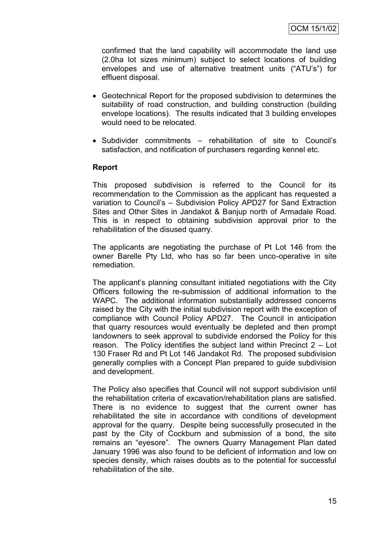confirmed that the land capability will accommodate the land use (2.0ha lot sizes minimum) subject to select locations of building envelopes and use of alternative treatment units ("ATU's") for effluent disposal.

- Geotechnical Report for the proposed subdivision to determines the suitability of road construction, and building construction (building envelope locations). The results indicated that 3 building envelopes would need to be relocated.
- Subdivider commitments rehabilitation of site to Council's satisfaction, and notification of purchasers regarding kennel etc.

#### **Report**

This proposed subdivision is referred to the Council for its recommendation to the Commission as the applicant has requested a variation to Council's – Subdivision Policy APD27 for Sand Extraction Sites and Other Sites in Jandakot & Banjup north of Armadale Road. This is in respect to obtaining subdivision approval prior to the rehabilitation of the disused quarry.

The applicants are negotiating the purchase of Pt Lot 146 from the owner Barelle Pty Ltd, who has so far been unco-operative in site remediation.

The applicant's planning consultant initiated negotiations with the City Officers following the re-submission of additional information to the WAPC. The additional information substantially addressed concerns raised by the City with the initial subdivision report with the exception of compliance with Council Policy APD27. The Council in anticipation that quarry resources would eventually be depleted and then prompt landowners to seek approval to subdivide endorsed the Policy for this reason. The Policy identifies the subject land within Precinct 2 – Lot 130 Fraser Rd and Pt Lot 146 Jandakot Rd. The proposed subdivision generally complies with a Concept Plan prepared to guide subdivision and development.

The Policy also specifies that Council will not support subdivision until the rehabilitation criteria of excavation/rehabilitation plans are satisfied. There is no evidence to suggest that the current owner has rehabilitated the site in accordance with conditions of development approval for the quarry. Despite being successfully prosecuted in the past by the City of Cockburn and submission of a bond, the site remains an "eyesore". The owners Quarry Management Plan dated January 1996 was also found to be deficient of information and low on species density, which raises doubts as to the potential for successful rehabilitation of the site.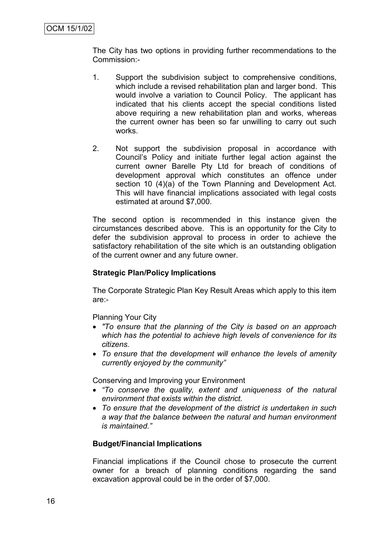The City has two options in providing further recommendations to the Commission:-

- 1. Support the subdivision subject to comprehensive conditions, which include a revised rehabilitation plan and larger bond. This would involve a variation to Council Policy. The applicant has indicated that his clients accept the special conditions listed above requiring a new rehabilitation plan and works, whereas the current owner has been so far unwilling to carry out such works.
- 2. Not support the subdivision proposal in accordance with Council's Policy and initiate further legal action against the current owner Barelle Pty Ltd for breach of conditions of development approval which constitutes an offence under section 10 (4)(a) of the Town Planning and Development Act. This will have financial implications associated with legal costs estimated at around \$7,000.

The second option is recommended in this instance given the circumstances described above. This is an opportunity for the City to defer the subdivision approval to process in order to achieve the satisfactory rehabilitation of the site which is an outstanding obligation of the current owner and any future owner.

## **Strategic Plan/Policy Implications**

The Corporate Strategic Plan Key Result Areas which apply to this item are:-

Planning Your City

- *"To ensure that the planning of the City is based on an approach which has the potential to achieve high levels of convenience for its citizens.*
- *To ensure that the development will enhance the levels of amenity currently enjoyed by the community"*

Conserving and Improving your Environment

- *"To conserve the quality, extent and uniqueness of the natural environment that exists within the district.*
- *To ensure that the development of the district is undertaken in such a way that the balance between the natural and human environment is maintained."*

## **Budget/Financial Implications**

Financial implications if the Council chose to prosecute the current owner for a breach of planning conditions regarding the sand excavation approval could be in the order of \$7,000.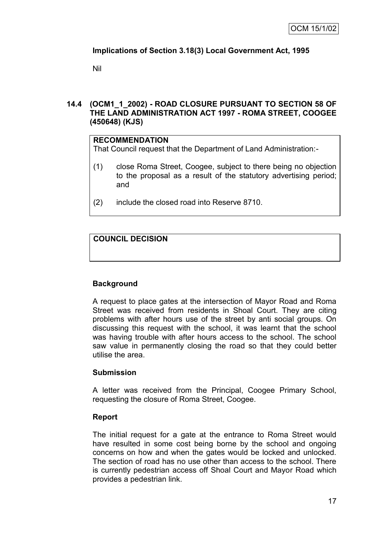# **Implications of Section 3.18(3) Local Government Act, 1995**

Nil

## **14.4 (OCM1\_1\_2002) - ROAD CLOSURE PURSUANT TO SECTION 58 OF THE LAND ADMINISTRATION ACT 1997 - ROMA STREET, COOGEE (450648) (KJS)**

## **RECOMMENDATION**

That Council request that the Department of Land Administration:-

- (1) close Roma Street, Coogee, subject to there being no objection to the proposal as a result of the statutory advertising period; and
- (2) include the closed road into Reserve 8710.

# **COUNCIL DECISION**

# **Background**

A request to place gates at the intersection of Mayor Road and Roma Street was received from residents in Shoal Court. They are citing problems with after hours use of the street by anti social groups. On discussing this request with the school, it was learnt that the school was having trouble with after hours access to the school. The school saw value in permanently closing the road so that they could better utilise the area.

## **Submission**

A letter was received from the Principal, Coogee Primary School, requesting the closure of Roma Street, Coogee.

## **Report**

The initial request for a gate at the entrance to Roma Street would have resulted in some cost being borne by the school and ongoing concerns on how and when the gates would be locked and unlocked. The section of road has no use other than access to the school. There is currently pedestrian access off Shoal Court and Mayor Road which provides a pedestrian link.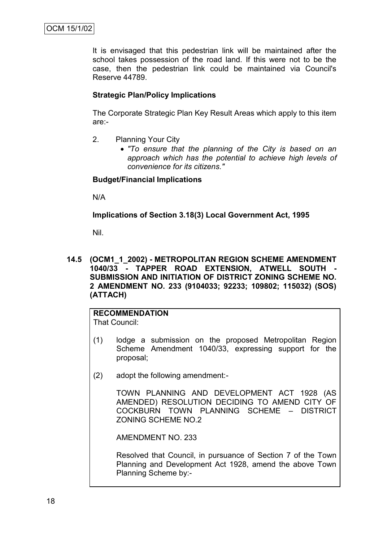It is envisaged that this pedestrian link will be maintained after the school takes possession of the road land. If this were not to be the case, then the pedestrian link could be maintained via Council's Reserve 44789.

## **Strategic Plan/Policy Implications**

The Corporate Strategic Plan Key Result Areas which apply to this item are:-

- 2. Planning Your City
	- *"To ensure that the planning of the City is based on an approach which has the potential to achieve high levels of convenience for its citizens."*

## **Budget/Financial Implications**

N/A

## **Implications of Section 3.18(3) Local Government Act, 1995**

Nil.

**14.5 (OCM1\_1\_2002) - METROPOLITAN REGION SCHEME AMENDMENT**  1040/33 - TAPPER ROAD EXTENSION, ATWELL SOUTH **SUBMISSION AND INITIATION OF DISTRICT ZONING SCHEME NO. 2 AMENDMENT NO. 233 (9104033; 92233; 109802; 115032) (SOS) (ATTACH)**

# **RECOMMENDATION**

That Council:

- (1) lodge a submission on the proposed Metropolitan Region Scheme Amendment 1040/33, expressing support for the proposal;
- (2) adopt the following amendment:-

TOWN PLANNING AND DEVELOPMENT ACT 1928 (AS AMENDED) RESOLUTION DECIDING TO AMEND CITY OF COCKBURN TOWN PLANNING SCHEME – DISTRICT ZONING SCHEME NO.2

AMENDMENT NO. 233

Resolved that Council, in pursuance of Section 7 of the Town Planning and Development Act 1928, amend the above Town Planning Scheme by:-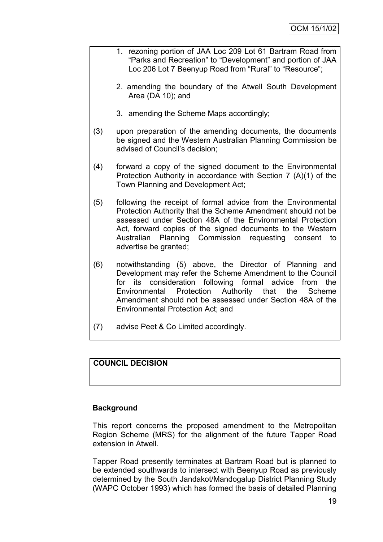- 1. rezoning portion of JAA Loc 209 Lot 61 Bartram Road from "Parks and Recreation" to "Development" and portion of JAA Loc 206 Lot 7 Beenyup Road from "Rural" to "Resource";
	- 2. amending the boundary of the Atwell South Development Area (DA 10); and
	- 3. amending the Scheme Maps accordingly;
- (3) upon preparation of the amending documents, the documents be signed and the Western Australian Planning Commission be advised of Council's decision;
- (4) forward a copy of the signed document to the Environmental Protection Authority in accordance with Section 7 (A)(1) of the Town Planning and Development Act;
- (5) following the receipt of formal advice from the Environmental Protection Authority that the Scheme Amendment should not be assessed under Section 48A of the Environmental Protection Act, forward copies of the signed documents to the Western Australian Planning Commission requesting consent to advertise be granted;
- (6) notwithstanding (5) above, the Director of Planning and Development may refer the Scheme Amendment to the Council for its consideration following formal advice from the Environmental Protection Authority that the Scheme Amendment should not be assessed under Section 48A of the Environmental Protection Act; and
- (7) advise Peet & Co Limited accordingly.

# **COUNCIL DECISION**

## **Background**

This report concerns the proposed amendment to the Metropolitan Region Scheme (MRS) for the alignment of the future Tapper Road extension in Atwell.

Tapper Road presently terminates at Bartram Road but is planned to be extended southwards to intersect with Beenyup Road as previously determined by the South Jandakot/Mandogalup District Planning Study (WAPC October 1993) which has formed the basis of detailed Planning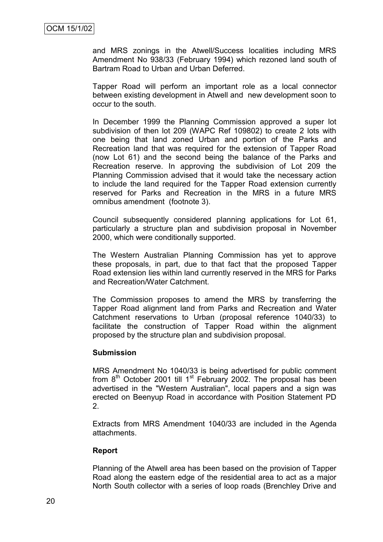and MRS zonings in the Atwell/Success localities including MRS Amendment No 938/33 (February 1994) which rezoned land south of Bartram Road to Urban and Urban Deferred.

Tapper Road will perform an important role as a local connector between existing development in Atwell and new development soon to occur to the south.

In December 1999 the Planning Commission approved a super lot subdivision of then lot 209 (WAPC Ref 109802) to create 2 lots with one being that land zoned Urban and portion of the Parks and Recreation land that was required for the extension of Tapper Road (now Lot 61) and the second being the balance of the Parks and Recreation reserve. In approving the subdivision of Lot 209 the Planning Commission advised that it would take the necessary action to include the land required for the Tapper Road extension currently reserved for Parks and Recreation in the MRS in a future MRS omnibus amendment (footnote 3).

Council subsequently considered planning applications for Lot 61, particularly a structure plan and subdivision proposal in November 2000, which were conditionally supported.

The Western Australian Planning Commission has yet to approve these proposals, in part, due to that fact that the proposed Tapper Road extension lies within land currently reserved in the MRS for Parks and Recreation/Water Catchment.

The Commission proposes to amend the MRS by transferring the Tapper Road alignment land from Parks and Recreation and Water Catchment reservations to Urban (proposal reference 1040/33) to facilitate the construction of Tapper Road within the alignment proposed by the structure plan and subdivision proposal.

#### **Submission**

MRS Amendment No 1040/33 is being advertised for public comment from  $8<sup>th</sup>$  October 2001 till 1<sup>st</sup> February 2002. The proposal has been advertised in the "Western Australian", local papers and a sign was erected on Beenyup Road in accordance with Position Statement PD 2.

Extracts from MRS Amendment 1040/33 are included in the Agenda attachments.

## **Report**

Planning of the Atwell area has been based on the provision of Tapper Road along the eastern edge of the residential area to act as a major North South collector with a series of loop roads (Brenchley Drive and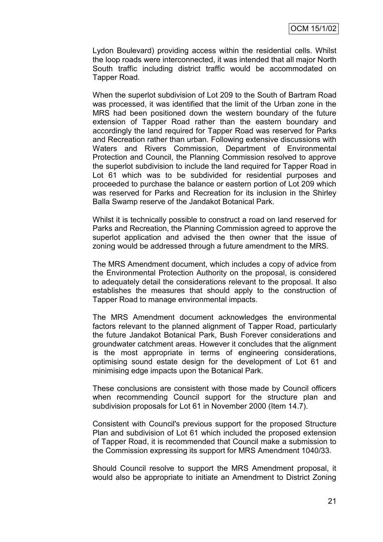Lydon Boulevard) providing access within the residential cells. Whilst the loop roads were interconnected, it was intended that all major North South traffic including district traffic would be accommodated on Tapper Road.

When the superlot subdivision of Lot 209 to the South of Bartram Road was processed, it was identified that the limit of the Urban zone in the MRS had been positioned down the western boundary of the future extension of Tapper Road rather than the eastern boundary and accordingly the land required for Tapper Road was reserved for Parks and Recreation rather than urban. Following extensive discussions with Waters and Rivers Commission, Department of Environmental Protection and Council, the Planning Commission resolved to approve the superlot subdivision to include the land required for Tapper Road in Lot 61 which was to be subdivided for residential purposes and proceeded to purchase the balance or eastern portion of Lot 209 which was reserved for Parks and Recreation for its inclusion in the Shirley Balla Swamp reserve of the Jandakot Botanical Park.

Whilst it is technically possible to construct a road on land reserved for Parks and Recreation, the Planning Commission agreed to approve the superlot application and advised the then owner that the issue of zoning would be addressed through a future amendment to the MRS.

The MRS Amendment document, which includes a copy of advice from the Environmental Protection Authority on the proposal, is considered to adequately detail the considerations relevant to the proposal. It also establishes the measures that should apply to the construction of Tapper Road to manage environmental impacts.

The MRS Amendment document acknowledges the environmental factors relevant to the planned alignment of Tapper Road, particularly the future Jandakot Botanical Park, Bush Forever considerations and groundwater catchment areas. However it concludes that the alignment is the most appropriate in terms of engineering considerations, optimising sound estate design for the development of Lot 61 and minimising edge impacts upon the Botanical Park.

These conclusions are consistent with those made by Council officers when recommending Council support for the structure plan and subdivision proposals for Lot 61 in November 2000 (Item 14.7).

Consistent with Council's previous support for the proposed Structure Plan and subdivision of Lot 61 which included the proposed extension of Tapper Road, it is recommended that Council make a submission to the Commission expressing its support for MRS Amendment 1040/33.

Should Council resolve to support the MRS Amendment proposal, it would also be appropriate to initiate an Amendment to District Zoning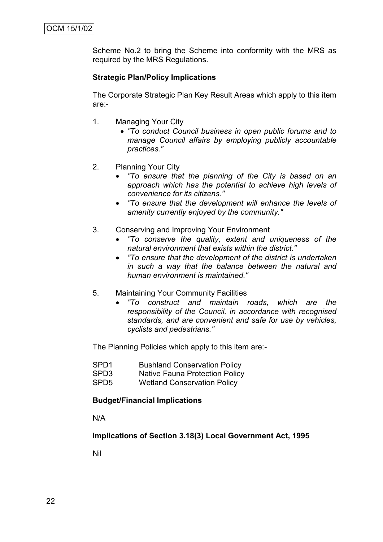Scheme No.2 to bring the Scheme into conformity with the MRS as required by the MRS Regulations.

## **Strategic Plan/Policy Implications**

The Corporate Strategic Plan Key Result Areas which apply to this item are:-

- 1. Managing Your City
	- *"To conduct Council business in open public forums and to manage Council affairs by employing publicly accountable practices."*
- 2. Planning Your City
	- *"To ensure that the planning of the City is based on an approach which has the potential to achieve high levels of convenience for its citizens."*
	- *"To ensure that the development will enhance the levels of amenity currently enjoyed by the community."*
- 3. Conserving and Improving Your Environment
	- *"To conserve the quality, extent and uniqueness of the natural environment that exists within the district."*
	- *"To ensure that the development of the district is undertaken in such a way that the balance between the natural and human environment is maintained."*
- 5. Maintaining Your Community Facilities
	- *"To construct and maintain roads, which are the responsibility of the Council, in accordance with recognised standards, and are convenient and safe for use by vehicles, cyclists and pedestrians."*

The Planning Policies which apply to this item are:-

- SPD1 Bushland Conservation Policy
- SPD3 Native Fauna Protection Policy
- SPD5 Wetland Conservation Policy

#### **Budget/Financial Implications**

N/A

**Implications of Section 3.18(3) Local Government Act, 1995**

Nil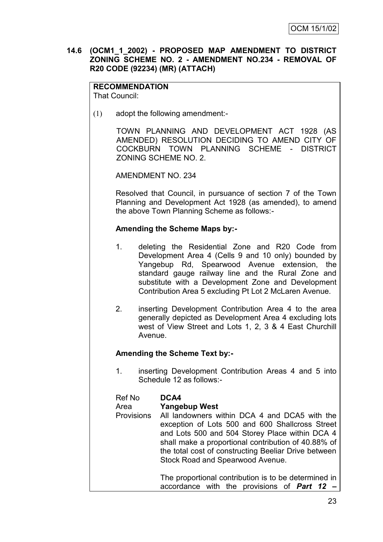## **14.6 (OCM1\_1\_2002) - PROPOSED MAP AMENDMENT TO DISTRICT ZONING SCHEME NO. 2 - AMENDMENT NO.234 - REMOVAL OF R20 CODE (92234) (MR) (ATTACH)**

#### **RECOMMENDATION** That Council:

(1) adopt the following amendment:-

TOWN PLANNING AND DEVELOPMENT ACT 1928 (AS AMENDED) RESOLUTION DECIDING TO AMEND CITY OF COCKBURN TOWN PLANNING SCHEME - DISTRICT ZONING SCHEME NO. 2.

AMENDMENT NO. 234

Resolved that Council, in pursuance of section 7 of the Town Planning and Development Act 1928 (as amended), to amend the above Town Planning Scheme as follows:-

## **Amending the Scheme Maps by:-**

- 1. deleting the Residential Zone and R20 Code from Development Area 4 (Cells 9 and 10 only) bounded by Yangebup Rd, Spearwood Avenue extension, the standard gauge railway line and the Rural Zone and substitute with a Development Zone and Development Contribution Area 5 excluding Pt Lot 2 McLaren Avenue.
- 2. inserting Development Contribution Area 4 to the area generally depicted as Development Area 4 excluding lots west of View Street and Lots 1, 2, 3 & 4 East Churchill Avenue.

# **Amending the Scheme Text by:-**

1. inserting Development Contribution Areas 4 and 5 into Schedule 12 as follows:-

| Ref No | DCA4 |
|--------|------|
|--------|------|

#### Area **Yangebup West**

Provisions All landowners within DCA 4 and DCA5 with the exception of Lots 500 and 600 Shallcross Street and Lots 500 and 504 Storey Place within DCA 4 shall make a proportional contribution of 40.88% of the total cost of constructing Beeliar Drive between Stock Road and Spearwood Avenue.

> The proportional contribution is to be determined in accordance with the provisions of *Part 12 –*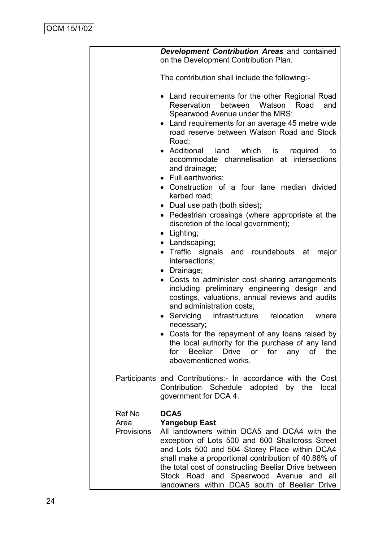|                           | Development Contribution Areas and contained<br>on the Development Contribution Plan.                                                                                                                                                                                                                                                                                               |
|---------------------------|-------------------------------------------------------------------------------------------------------------------------------------------------------------------------------------------------------------------------------------------------------------------------------------------------------------------------------------------------------------------------------------|
|                           | The contribution shall include the following:-                                                                                                                                                                                                                                                                                                                                      |
|                           | Land requirements for the other Regional Road<br>$\bullet$<br>Reservation between Watson Road<br>and<br>Spearwood Avenue under the MRS;<br>• Land requirements for an average 45 metre wide<br>road reserve between Watson Road and Stock<br>Road;                                                                                                                                  |
|                           | • Additional land<br>which is<br>required<br>to<br>accommodate channelisation at intersections<br>and drainage;<br>• Full earthworks;                                                                                                                                                                                                                                               |
|                           | • Construction of a four lane median divided<br>kerbed road;                                                                                                                                                                                                                                                                                                                        |
|                           | • Dual use path (both sides);<br>• Pedestrian crossings (where appropriate at the<br>discretion of the local government);<br>• Lighting;                                                                                                                                                                                                                                            |
|                           | • Landscaping;<br>• Traffic signals and roundabouts at<br>major<br>intersections;<br>• Drainage;                                                                                                                                                                                                                                                                                    |
|                           | Costs to administer cost sharing arrangements<br>including preliminary engineering design and<br>costings, valuations, annual reviews and audits<br>and administration costs;                                                                                                                                                                                                       |
|                           | Servicing<br>infrastructure relocation<br>where<br>$\bullet$<br>necessary;                                                                                                                                                                                                                                                                                                          |
|                           | Costs for the repayment of any loans raised by<br>the local authority for the purchase of any land<br>Beeliar<br>Drive or for<br>any of the<br>for<br>abovementioned works.                                                                                                                                                                                                         |
|                           | Participants and Contributions:- In accordance with the Cost<br>Contribution Schedule adopted by the<br>local<br>government for DCA 4.                                                                                                                                                                                                                                              |
| <b>Ref No</b>             | DCA <sub>5</sub>                                                                                                                                                                                                                                                                                                                                                                    |
| Area<br><b>Provisions</b> | <b>Yangebup East</b><br>All landowners within DCA5 and DCA4 with the<br>exception of Lots 500 and 600 Shallcross Street<br>and Lots 500 and 504 Storey Place within DCA4<br>shall make a proportional contribution of 40.88% of<br>the total cost of constructing Beeliar Drive between<br>Stock Road and Spearwood Avenue and all<br>landowners within DCA5 south of Beeliar Drive |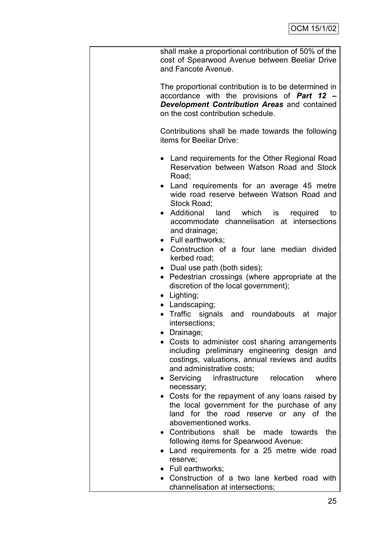|           | shall make a proportional contribution of 50% of the<br>cost of Spearwood Avenue between Beeliar Drive<br>and Fancote Avenue.                                                                    |
|-----------|--------------------------------------------------------------------------------------------------------------------------------------------------------------------------------------------------|
|           | The proportional contribution is to be determined in<br>accordance with the provisions of Part 12 -<br><b>Development Contribution Areas and contained</b><br>on the cost contribution schedule. |
|           | Contributions shall be made towards the following<br>items for Beeliar Drive:                                                                                                                    |
|           | • Land requirements for the Other Regional Road<br>Reservation between Watson Road and Stock<br>Road;                                                                                            |
| $\bullet$ | Land requirements for an average 45 metre<br>wide road reserve between Watson Road and<br>Stock Road;                                                                                            |
| $\bullet$ | Additional<br>land<br>which is<br>required<br>to<br>accommodate channelisation at intersections<br>and drainage;                                                                                 |
|           | • Full earthworks;<br>• Construction of a four lane median divided<br>kerbed road;                                                                                                               |
| $\bullet$ | • Dual use path (both sides);<br>Pedestrian crossings (where appropriate at the<br>discretion of the local government);                                                                          |
|           | $\bullet$ Lighting;                                                                                                                                                                              |
|           | • Landscaping;                                                                                                                                                                                   |
| $\bullet$ | Traffic signals and roundabouts at<br>major<br>intersections;                                                                                                                                    |
|           | • Drainage;                                                                                                                                                                                      |
|           | Costs to administer cost sharing arrangements<br>including preliminary engineering design and<br>costings, valuations, annual reviews and audits<br>and administrative costs;                    |
|           | • Servicing infrastructure relocation<br>where<br>necessary;                                                                                                                                     |
|           | • Costs for the repayment of any loans raised by<br>the local government for the purchase of any<br>land for the road reserve or any of the                                                      |
|           | abovementioned works.<br>• Contributions shall be<br>made towards<br>the                                                                                                                         |
|           | following items for Spearwood Avenue:                                                                                                                                                            |
| $\bullet$ | Land requirements for a 25 metre wide road                                                                                                                                                       |
|           | reserve;                                                                                                                                                                                         |
|           | • Full earthworks;                                                                                                                                                                               |
|           | • Construction of a two lane kerbed road with                                                                                                                                                    |
|           | channelisation at intersections;                                                                                                                                                                 |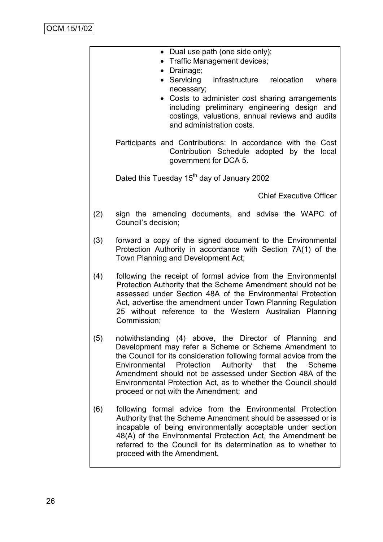|     | • Dual use path (one side only);<br>• Traffic Management devices;                                                                                                                                                                                                                                                                                                                                                                    |
|-----|--------------------------------------------------------------------------------------------------------------------------------------------------------------------------------------------------------------------------------------------------------------------------------------------------------------------------------------------------------------------------------------------------------------------------------------|
|     | • Drainage;                                                                                                                                                                                                                                                                                                                                                                                                                          |
|     | • Servicing<br>infrastructure relocation where<br>necessary;                                                                                                                                                                                                                                                                                                                                                                         |
|     | • Costs to administer cost sharing arrangements<br>including preliminary engineering design and<br>costings, valuations, annual reviews and audits<br>and administration costs.                                                                                                                                                                                                                                                      |
|     | Participants and Contributions: In accordance with the Cost<br>Contribution Schedule adopted by the local<br>government for DCA 5.                                                                                                                                                                                                                                                                                                   |
|     | Dated this Tuesday 15 <sup>th</sup> day of January 2002                                                                                                                                                                                                                                                                                                                                                                              |
|     | <b>Chief Executive Officer</b>                                                                                                                                                                                                                                                                                                                                                                                                       |
| (2) | sign the amending documents, and advise the WAPC of<br>Council's decision;                                                                                                                                                                                                                                                                                                                                                           |
| (3) | forward a copy of the signed document to the Environmental<br>Protection Authority in accordance with Section 7A(1) of the<br>Town Planning and Development Act;                                                                                                                                                                                                                                                                     |
| (4) | following the receipt of formal advice from the Environmental<br>Protection Authority that the Scheme Amendment should not be<br>assessed under Section 48A of the Environmental Protection<br>Act, advertise the amendment under Town Planning Regulation<br>25 without reference to the Western Australian Planning<br>Commission;                                                                                                 |
| (5) | notwithstanding (4) above, the Director of Planning and<br>Development may refer a Scheme or Scheme Amendment to<br>the Council for its consideration following formal advice from the<br>that<br>Environmental<br>Protection<br>Authority<br>the<br>Scheme<br>Amendment should not be assessed under Section 48A of the<br>Environmental Protection Act, as to whether the Council should<br>proceed or not with the Amendment; and |
| (6) | following formal advice from the Environmental Protection<br>Authority that the Scheme Amendment should be assessed or is<br>incapable of being environmentally acceptable under section<br>48(A) of the Environmental Protection Act, the Amendment be<br>referred to the Council for its determination as to whether to<br>proceed with the Amendment.                                                                             |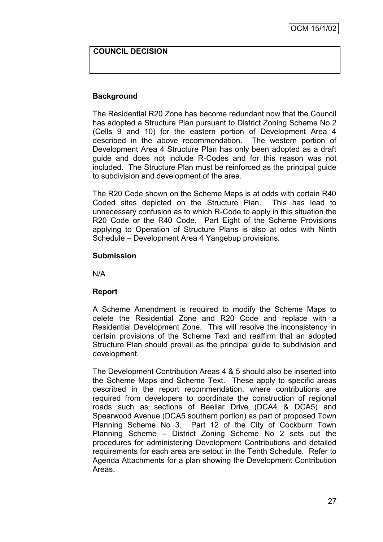### **COUNCIL DECISION**

## **Background**

The Residential R20 Zone has become redundant now that the Council has adopted a Structure Plan pursuant to District Zoning Scheme No 2 (Cells 9 and 10) for the eastern portion of Development Area 4 described in the above recommendation. The western portion of Development Area 4 Structure Plan has only been adopted as a draft guide and does not include R-Codes and for this reason was not included. The Structure Plan must be reinforced as the principal guide to subdivision and development of the area.

The R20 Code shown on the Scheme Maps is at odds with certain R40 Coded sites depicted on the Structure Plan. This has lead to unnecessary confusion as to which R-Code to apply in this situation the R20 Code or the R40 Code. Part Eight of the Scheme Provisions applying to Operation of Structure Plans is also at odds with Ninth Schedule – Development Area 4 Yangebup provisions.

#### **Submission**

N/A

## **Report**

A Scheme Amendment is required to modify the Scheme Maps to delete the Residential Zone and R20 Code and replace with a Residential Development Zone. This will resolve the inconsistency in certain provisions of the Scheme Text and reaffirm that an adopted Structure Plan should prevail as the principal guide to subdivision and development.

The Development Contribution Areas 4 & 5 should also be inserted into the Scheme Maps and Scheme Text. These apply to specific areas described in the report recommendation, where contributions are required from developers to coordinate the construction of regional roads such as sections of Beeliar Drive (DCA4 & DCA5) and Spearwood Avenue (DCA5 southern portion) as part of proposed Town Planning Scheme No 3. Part 12 of the City of Cockburn Town Planning Scheme – District Zoning Scheme No 2 sets out the procedures for administering Development Contributions and detailed requirements for each area are setout in the Tenth Schedule. Refer to Agenda Attachments for a plan showing the Development Contribution Areas.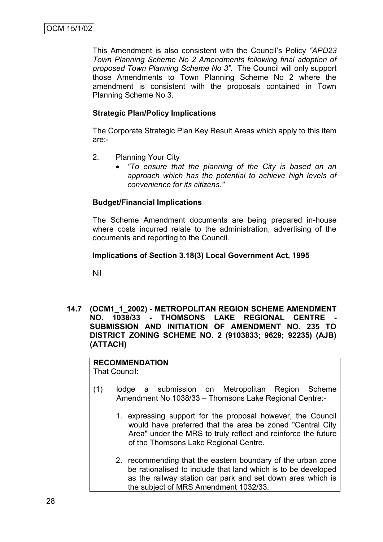This Amendment is also consistent with the Council's Policy *"APD23 Town Planning Scheme No 2 Amendments following final adoption of proposed Town Planning Scheme No 3".* The Council will only support those Amendments to Town Planning Scheme No 2 where the amendment is consistent with the proposals contained in Town Planning Scheme No 3.

## **Strategic Plan/Policy Implications**

The Corporate Strategic Plan Key Result Areas which apply to this item are:-

- 2. Planning Your City
	- *"To ensure that the planning of the City is based on an approach which has the potential to achieve high levels of convenience for its citizens."*

# **Budget/Financial Implications**

The Scheme Amendment documents are being prepared in-house where costs incurred relate to the administration, advertising of the documents and reporting to the Council.

## **Implications of Section 3.18(3) Local Government Act, 1995**

Nil

**14.7 (OCM1\_1\_2002) - METROPOLITAN REGION SCHEME AMENDMENT**  NO. 1038/33 - THOMSONS LAKE REGIONAL CENTRE **SUBMISSION AND INITIATION OF AMENDMENT NO. 235 TO DISTRICT ZONING SCHEME NO. 2 (9103833; 9629; 92235) (AJB) (ATTACH)**

**RECOMMENDATION** That Council:

- (1) lodge a submission on Metropolitan Region Scheme Amendment No 1038/33 – Thomsons Lake Regional Centre:-
	- 1. expressing support for the proposal however, the Council would have preferred that the area be zoned "Central City Area" under the MRS to truly reflect and reinforce the future of the Thomsons Lake Regional Centre.
	- 2. recommending that the eastern boundary of the urban zone be rationalised to include that land which is to be developed as the railway station car park and set down area which is the subject of MRS Amendment 1032/33.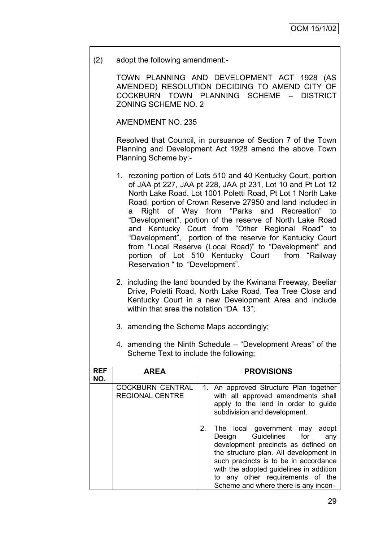(2) adopt the following amendment:-

TOWN PLANNING AND DEVELOPMENT ACT 1928 (AS AMENDED) RESOLUTION DECIDING TO AMEND CITY OF COCKBURN TOWN PLANNING SCHEME – DISTRICT ZONING SCHEME NO. 2

AMENDMENT NO. 235

Resolved that Council, in pursuance of Section 7 of the Town Planning and Development Act 1928 amend the above Town Planning Scheme by:-

- 1. rezoning portion of Lots 510 and 40 Kentucky Court, portion of JAA pt 227, JAA pt 228, JAA pt 231, Lot 10 and Pt Lot 12 North Lake Road, Lot 1001 Poletti Road, Pt Lot 1 North Lake Road, portion of Crown Reserve 27950 and land included in a Right of Way from "Parks and Recreation" to ―Development‖, portion of the reserve of North Lake Road and Kentucky Court from "Other Regional Road" to ―Development‖, portion of the reserve for Kentucky Court from "Local Reserve (Local Road)" to "Development" and portion of Lot 510 Kentucky Court from "Railway Reservation " to "Development".
- 2. including the land bounded by the Kwinana Freeway, Beeliar Drive, Poletti Road, North Lake Road, Tea Tree Close and Kentucky Court in a new Development Area and include within that area the notation "DA 13";
- 3. amending the Scheme Maps accordingly;
- 4. amending the Ninth Schedule "Development Areas" of the Scheme Text to include the following;

| <b>REF</b><br>NO. | <b>AREA</b>                                       |    | <b>PROVISIONS</b>                                                                                                                                                                                                                                                                                                  |
|-------------------|---------------------------------------------------|----|--------------------------------------------------------------------------------------------------------------------------------------------------------------------------------------------------------------------------------------------------------------------------------------------------------------------|
|                   | <b>COCKBURN CENTRAL</b><br><b>REGIONAL CENTRE</b> |    | 1. An approved Structure Plan together<br>with all approved amendments shall<br>apply to the land in order to guide<br>subdivision and development.                                                                                                                                                                |
|                   |                                                   | 2. | The local government may<br>adopt<br>Design Guidelines for<br>any<br>development precincts as defined on<br>the structure plan. All development in<br>such precincts is to be in accordance<br>with the adopted guidelines in addition<br>to any other requirements of the<br>Scheme and where there is any incon- |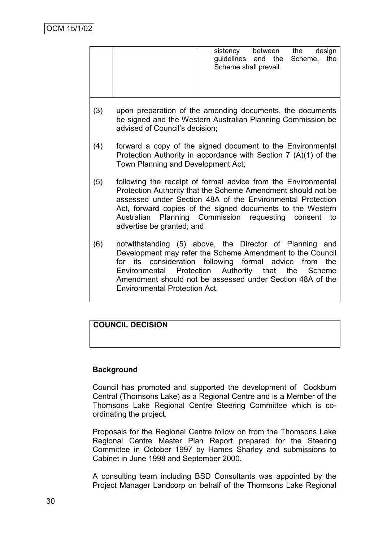|     |                                                                                                                                                                      | between the<br>design<br>sistency<br>guidelines and the<br>Scheme,<br>the<br>Scheme shall prevail.                                                                                                                                                                                                                   |  |
|-----|----------------------------------------------------------------------------------------------------------------------------------------------------------------------|----------------------------------------------------------------------------------------------------------------------------------------------------------------------------------------------------------------------------------------------------------------------------------------------------------------------|--|
| (3) | advised of Council's decision:                                                                                                                                       | upon preparation of the amending documents, the documents<br>be signed and the Western Australian Planning Commission be                                                                                                                                                                                             |  |
| (4) | forward a copy of the signed document to the Environmental<br>Protection Authority in accordance with Section $7(A)(1)$ of the<br>Town Planning and Development Act; |                                                                                                                                                                                                                                                                                                                      |  |
| (5) | advertise be granted; and                                                                                                                                            | following the receipt of formal advice from the Environmental<br>Protection Authority that the Scheme Amendment should not be<br>assessed under Section 48A of the Environmental Protection<br>Act, forward copies of the signed documents to the Western<br>Australian Planning Commission requesting consent<br>to |  |
| (6) | for its<br><b>Environmental Protection Act.</b>                                                                                                                      | notwithstanding (5) above, the Director of Planning and<br>Development may refer the Scheme Amendment to the Council<br>consideration following formal advice from<br>the<br>Environmental Protection Authority that the Scheme<br>Amendment should not be assessed under Section 48A of the                         |  |

# **COUNCIL DECISION**

# **Background**

Council has promoted and supported the development of Cockburn Central (Thomsons Lake) as a Regional Centre and is a Member of the Thomsons Lake Regional Centre Steering Committee which is coordinating the project.

Proposals for the Regional Centre follow on from the Thomsons Lake Regional Centre Master Plan Report prepared for the Steering Committee in October 1997 by Hames Sharley and submissions to Cabinet in June 1998 and September 2000.

A consulting team including BSD Consultants was appointed by the Project Manager Landcorp on behalf of the Thomsons Lake Regional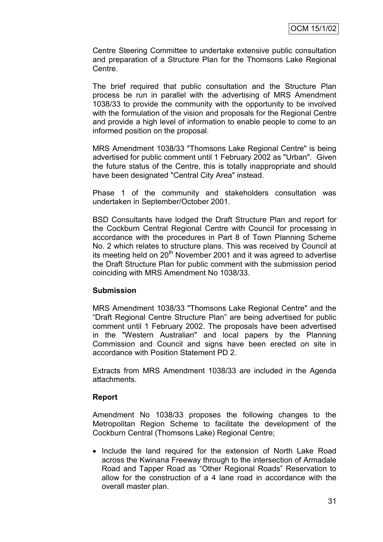Centre Steering Committee to undertake extensive public consultation and preparation of a Structure Plan for the Thomsons Lake Regional Centre.

The brief required that public consultation and the Structure Plan process be run in parallel with the advertising of MRS Amendment 1038/33 to provide the community with the opportunity to be involved with the formulation of the vision and proposals for the Regional Centre and provide a high level of information to enable people to come to an informed position on the proposal.

MRS Amendment 1038/33 "Thomsons Lake Regional Centre" is being advertised for public comment until 1 February 2002 as "Urban". Given the future status of the Centre, this is totally inappropriate and should have been designated "Central City Area" instead.

Phase 1 of the community and stakeholders consultation was undertaken in September/October 2001.

BSD Consultants have lodged the Draft Structure Plan and report for the Cockburn Central Regional Centre with Council for processing in accordance with the procedures in Part 8 of Town Planning Scheme No. 2 which relates to structure plans. This was received by Council at its meeting held on  $20<sup>th</sup>$  November 2001 and it was agreed to advertise the Draft Structure Plan for public comment with the submission period coinciding with MRS Amendment No 1038/33.

## **Submission**

MRS Amendment 1038/33 "Thomsons Lake Regional Centre" and the "Draft Regional Centre Structure Plan" are being advertised for public comment until 1 February 2002. The proposals have been advertised in the "Western Australian" and local papers by the Planning Commission and Council and signs have been erected on site in accordance with Position Statement PD 2.

Extracts from MRS Amendment 1038/33 are included in the Agenda attachments.

## **Report**

Amendment No 1038/33 proposes the following changes to the Metropolitan Region Scheme to facilitate the development of the Cockburn Central (Thomsons Lake) Regional Centre;

• Include the land required for the extension of North Lake Road across the Kwinana Freeway through to the intersection of Armadale Road and Tapper Road as "Other Regional Roads" Reservation to allow for the construction of a 4 lane road in accordance with the overall master plan.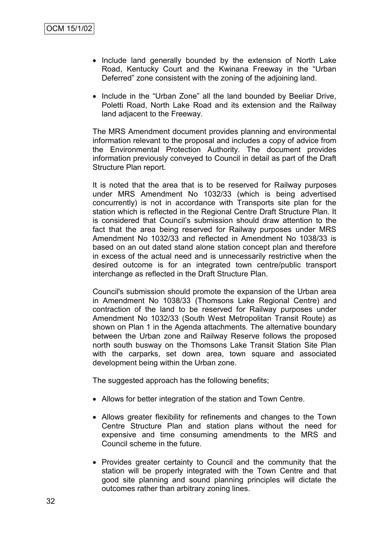- Include land generally bounded by the extension of North Lake Road, Kentucky Court and the Kwinana Freeway in the "Urban Deferred" zone consistent with the zoning of the adjoining land.
- Include in the "Urban Zone" all the land bounded by Beeliar Drive, Poletti Road, North Lake Road and its extension and the Railway land adjacent to the Freeway.

The MRS Amendment document provides planning and environmental information relevant to the proposal and includes a copy of advice from the Environmental Protection Authority. The document provides information previously conveyed to Council in detail as part of the Draft Structure Plan report.

It is noted that the area that is to be reserved for Railway purposes under MRS Amendment No 1032/33 (which is being advertised concurrently) is not in accordance with Transports site plan for the station which is reflected in the Regional Centre Draft Structure Plan. It is considered that Council's submission should draw attention to the fact that the area being reserved for Railway purposes under MRS Amendment No 1032/33 and reflected in Amendment No 1038/33 is based on an out dated stand alone station concept plan and therefore in excess of the actual need and is unnecessarily restrictive when the desired outcome is for an integrated town centre/public transport interchange as reflected in the Draft Structure Plan.

Council's submission should promote the expansion of the Urban area in Amendment No 1038/33 (Thomsons Lake Regional Centre) and contraction of the land to be reserved for Railway purposes under Amendment No 1032/33 (South West Metropolitan Transit Route) as shown on Plan 1 in the Agenda attachments. The alternative boundary between the Urban zone and Railway Reserve follows the proposed north south busway on the Thomsons Lake Transit Station Site Plan with the carparks, set down area, town square and associated development being within the Urban zone.

The suggested approach has the following benefits;

- Allows for better integration of the station and Town Centre.
- Allows greater flexibility for refinements and changes to the Town Centre Structure Plan and station plans without the need for expensive and time consuming amendments to the MRS and Council scheme in the future.
- Provides greater certainty to Council and the community that the station will be properly integrated with the Town Centre and that good site planning and sound planning principles will dictate the outcomes rather than arbitrary zoning lines.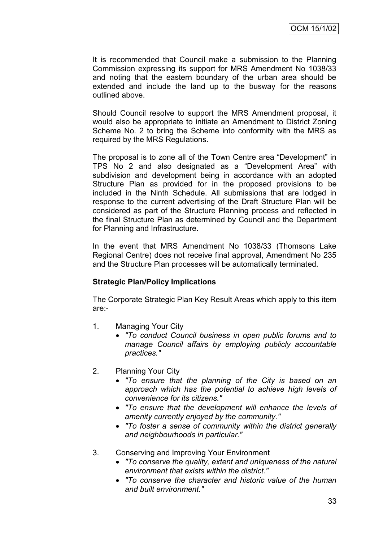It is recommended that Council make a submission to the Planning Commission expressing its support for MRS Amendment No 1038/33 and noting that the eastern boundary of the urban area should be extended and include the land up to the busway for the reasons outlined above.

Should Council resolve to support the MRS Amendment proposal, it would also be appropriate to initiate an Amendment to District Zoning Scheme No. 2 to bring the Scheme into conformity with the MRS as required by the MRS Regulations.

The proposal is to zone all of the Town Centre area "Development" in TPS No 2 and also designated as a "Development Area" with subdivision and development being in accordance with an adopted Structure Plan as provided for in the proposed provisions to be included in the Ninth Schedule. All submissions that are lodged in response to the current advertising of the Draft Structure Plan will be considered as part of the Structure Planning process and reflected in the final Structure Plan as determined by Council and the Department for Planning and Infrastructure.

In the event that MRS Amendment No 1038/33 (Thomsons Lake Regional Centre) does not receive final approval, Amendment No 235 and the Structure Plan processes will be automatically terminated.

## **Strategic Plan/Policy Implications**

The Corporate Strategic Plan Key Result Areas which apply to this item are:-

- 1. Managing Your City
	- *"To conduct Council business in open public forums and to manage Council affairs by employing publicly accountable practices."*
- 2. Planning Your City
	- *"To ensure that the planning of the City is based on an approach which has the potential to achieve high levels of convenience for its citizens."*
	- *"To ensure that the development will enhance the levels of amenity currently enjoyed by the community."*
	- *"To foster a sense of community within the district generally and neighbourhoods in particular."*
- 3. Conserving and Improving Your Environment
	- *"To conserve the quality, extent and uniqueness of the natural environment that exists within the district."*
	- *"To conserve the character and historic value of the human and built environment."*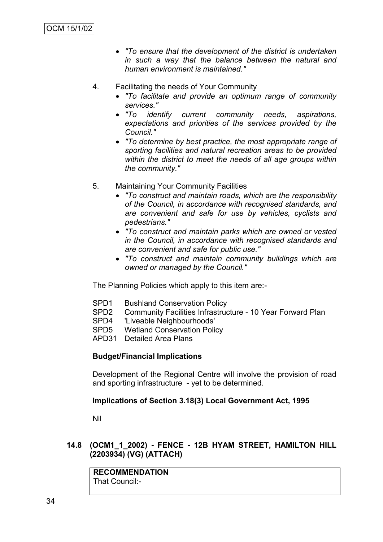- *"To ensure that the development of the district is undertaken in such a way that the balance between the natural and human environment is maintained."*
- 4. Facilitating the needs of Your Community
	- *"To facilitate and provide an optimum range of community services."*
	- *"To identify current community needs, aspirations, expectations and priorities of the services provided by the Council."*
	- *"To determine by best practice, the most appropriate range of sporting facilities and natural recreation areas to be provided within the district to meet the needs of all age groups within the community."*
- 5. Maintaining Your Community Facilities
	- *"To construct and maintain roads, which are the responsibility of the Council, in accordance with recognised standards, and are convenient and safe for use by vehicles, cyclists and pedestrians."*
	- *"To construct and maintain parks which are owned or vested in the Council, in accordance with recognised standards and are convenient and safe for public use."*
	- *"To construct and maintain community buildings which are owned or managed by the Council."*

The Planning Policies which apply to this item are:-

- SPD1 Bushland Conservation Policy
- SPD2 Community Facilities Infrastructure 10 Year Forward Plan
- SPD4 'Liveable Neighbourhoods'
- **Wetland Conservation Policy**
- APD31 Detailed Area Plans

## **Budget/Financial Implications**

Development of the Regional Centre will involve the provision of road and sporting infrastructure - yet to be determined.

## **Implications of Section 3.18(3) Local Government Act, 1995**

Nil

## **14.8 (OCM1\_1\_2002) - FENCE - 12B HYAM STREET, HAMILTON HILL (2203934) (VG) (ATTACH)**

**RECOMMENDATION** That Council:-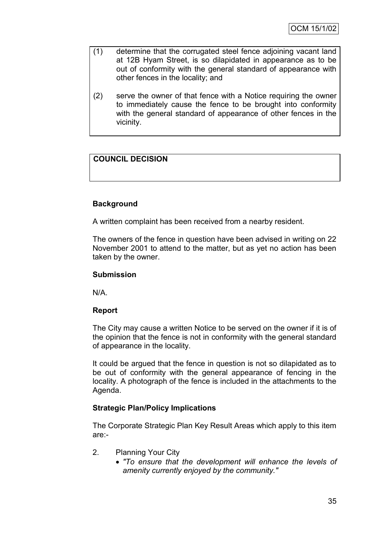- (1) determine that the corrugated steel fence adjoining vacant land at 12B Hyam Street, is so dilapidated in appearance as to be out of conformity with the general standard of appearance with other fences in the locality; and
- (2) serve the owner of that fence with a Notice requiring the owner to immediately cause the fence to be brought into conformity with the general standard of appearance of other fences in the vicinity.

# **COUNCIL DECISION**

# **Background**

A written complaint has been received from a nearby resident.

The owners of the fence in question have been advised in writing on 22 November 2001 to attend to the matter, but as yet no action has been taken by the owner.

#### **Submission**

N/A.

## **Report**

The City may cause a written Notice to be served on the owner if it is of the opinion that the fence is not in conformity with the general standard of appearance in the locality.

It could be argued that the fence in question is not so dilapidated as to be out of conformity with the general appearance of fencing in the locality. A photograph of the fence is included in the attachments to the Agenda.

## **Strategic Plan/Policy Implications**

The Corporate Strategic Plan Key Result Areas which apply to this item are:-

- 2. Planning Your City
	- *"To ensure that the development will enhance the levels of amenity currently enjoyed by the community."*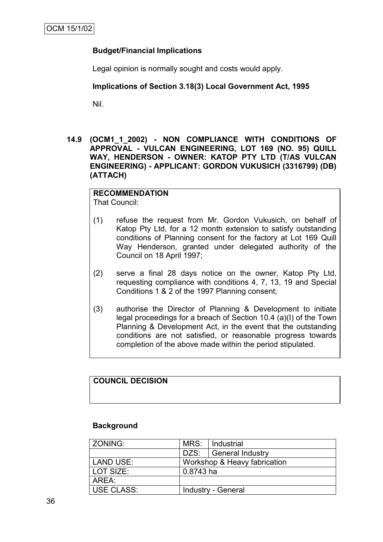# **Budget/Financial Implications**

Legal opinion is normally sought and costs would apply.

## **Implications of Section 3.18(3) Local Government Act, 1995**

Nil.

**14.9 (OCM1\_1\_2002) - NON COMPLIANCE WITH CONDITIONS OF APPROVAL - VULCAN ENGINEERING, LOT 169 (NO. 95) QUILL WAY, HENDERSON - OWNER: KATOP PTY LTD (T/AS VULCAN ENGINEERING) - APPLICANT: GORDON VUKUSICH (3316799) (DB) (ATTACH)**

#### **RECOMMENDATION** That Council:

- (1) refuse the request from Mr. Gordon Vukusich, on behalf of Katop Pty Ltd, for a 12 month extension to satisfy outstanding conditions of Planning consent for the factory at Lot 169 Quill Way Henderson, granted under delegated authority of the Council on 18 April 1997;
- (2) serve a final 28 days notice on the owner, Katop Pty Ltd, requesting compliance with conditions 4, 7, 13, 19 and Special Conditions 1 & 2 of the 1997 Planning consent;
- (3) authorise the Director of Planning & Development to initiate legal proceedings for a breach of Section 10.4 (a)(I) of the Town Planning & Development Act, in the event that the outstanding conditions are not satisfied, or reasonable progress towards completion of the above made within the period stipulated.

## **COUNCIL DECISION**

## **Background**

| <b>ZONING:</b> | MRS:                         | Industrial              |
|----------------|------------------------------|-------------------------|
|                |                              | DZS:   General Industry |
| LAND USE:      | Workshop & Heavy fabrication |                         |
| LOT SIZE:      | 0.8743 ha                    |                         |
| AREA:          |                              |                         |
| USE CLASS:     | <b>Industry - General</b>    |                         |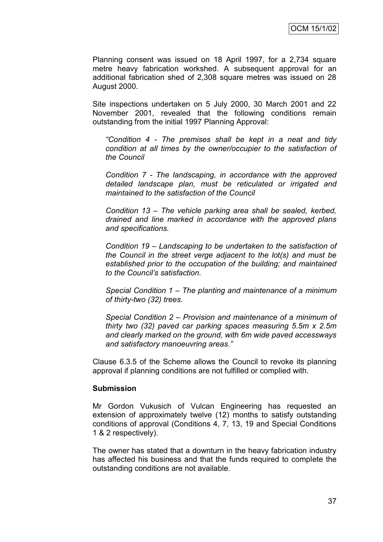Planning consent was issued on 18 April 1997, for a 2,734 square metre heavy fabrication workshed. A subsequent approval for an additional fabrication shed of 2,308 square metres was issued on 28 August 2000.

Site inspections undertaken on 5 July 2000, 30 March 2001 and 22 November 2001, revealed that the following conditions remain outstanding from the initial 1997 Planning Approval:

*"Condition 4 - The premises shall be kept in a neat and tidy condition at all times by the owner/occupier to the satisfaction of the Council* 

*Condition 7 - The landscaping, in accordance with the approved detailed landscape plan, must be reticulated or irrigated and maintained to the satisfaction of the Council*

*Condition 13 – The vehicle parking area shall be sealed, kerbed, drained and line marked in accordance with the approved plans and specifications.*

*Condition 19 – Landscaping to be undertaken to the satisfaction of the Council in the street verge adjacent to the lot(s) and must be established prior to the occupation of the building; and maintained to the Council's satisfaction.*

*Special Condition 1 – The planting and maintenance of a minimum of thirty-two (32) trees.*

*Special Condition 2 – Provision and maintenance of a minimum of thirty two (32) paved car parking spaces measuring 5.5m x 2.5m and clearly marked on the ground, with 6m wide paved accessways and satisfactory manoeuvring areas."*

Clause 6.3.5 of the Scheme allows the Council to revoke its planning approval if planning conditions are not fulfilled or complied with.

#### **Submission**

Mr Gordon Vukusich of Vulcan Engineering has requested an extension of approximately twelve (12) months to satisfy outstanding conditions of approval (Conditions 4, 7, 13, 19 and Special Conditions 1 & 2 respectively).

The owner has stated that a downturn in the heavy fabrication industry has affected his business and that the funds required to complete the outstanding conditions are not available.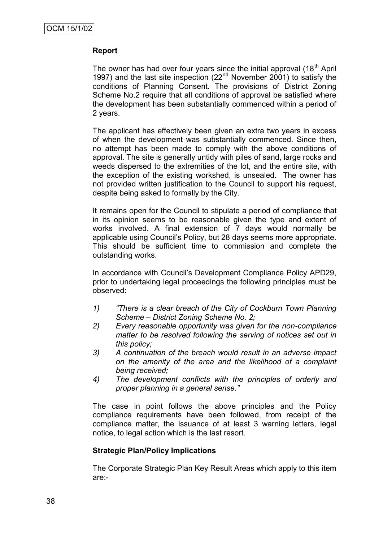## **Report**

The owner has had over four years since the initial approval (18<sup>th</sup> April 1997) and the last site inspection (22<sup>nd</sup> November 2001) to satisfy the conditions of Planning Consent. The provisions of District Zoning Scheme No.2 require that all conditions of approval be satisfied where the development has been substantially commenced within a period of 2 years.

The applicant has effectively been given an extra two years in excess of when the development was substantially commenced. Since then, no attempt has been made to comply with the above conditions of approval. The site is generally untidy with piles of sand, large rocks and weeds dispersed to the extremities of the lot, and the entire site, with the exception of the existing workshed, is unsealed. The owner has not provided written justification to the Council to support his request, despite being asked to formally by the City.

It remains open for the Council to stipulate a period of compliance that in its opinion seems to be reasonable given the type and extent of works involved. A final extension of 7 days would normally be applicable using Council's Policy, but 28 days seems more appropriate. This should be sufficient time to commission and complete the outstanding works.

In accordance with Council's Development Compliance Policy APD29, prior to undertaking legal proceedings the following principles must be observed:

- *1) "There is a clear breach of the City of Cockburn Town Planning Scheme – District Zoning Scheme No. 2;*
- *2) Every reasonable opportunity was given for the non-compliance matter to be resolved following the serving of notices set out in this policy;*
- *3) A continuation of the breach would result in an adverse impact on the amenity of the area and the likelihood of a complaint being received;*
- *4) The development conflicts with the principles of orderly and proper planning in a general sense."*

The case in point follows the above principles and the Policy compliance requirements have been followed, from receipt of the compliance matter, the issuance of at least 3 warning letters, legal notice, to legal action which is the last resort.

## **Strategic Plan/Policy Implications**

The Corporate Strategic Plan Key Result Areas which apply to this item are:-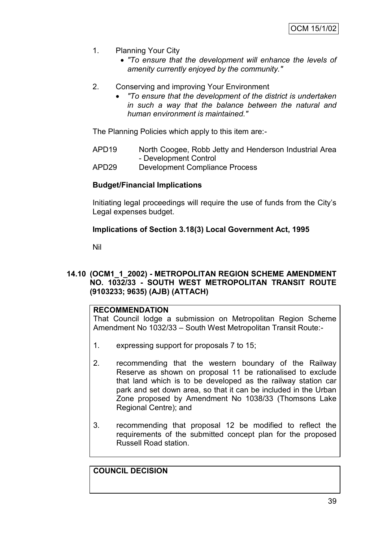- 1. Planning Your City
	- *"To ensure that the development will enhance the levels of amenity currently enjoyed by the community."*
- 2. Conserving and improving Your Environment
	- *"To ensure that the development of the district is undertaken in such a way that the balance between the natural and human environment is maintained."*

The Planning Policies which apply to this item are:-

- APD19 North Coogee, Robb Jetty and Henderson Industrial Area - Development Control
- APD29 Development Compliance Process

#### **Budget/Financial Implications**

Initiating legal proceedings will require the use of funds from the City's Legal expenses budget.

## **Implications of Section 3.18(3) Local Government Act, 1995**

Nil

## **14.10 (OCM1\_1\_2002) - METROPOLITAN REGION SCHEME AMENDMENT NO. 1032/33 - SOUTH WEST METROPOLITAN TRANSIT ROUTE (9103233; 9635) (AJB) (ATTACH)**

#### **RECOMMENDATION**

That Council lodge a submission on Metropolitan Region Scheme Amendment No 1032/33 – South West Metropolitan Transit Route:-

- 1. expressing support for proposals 7 to 15;
- 2. recommending that the western boundary of the Railway Reserve as shown on proposal 11 be rationalised to exclude that land which is to be developed as the railway station car park and set down area, so that it can be included in the Urban Zone proposed by Amendment No 1038/33 (Thomsons Lake Regional Centre); and
- 3. recommending that proposal 12 be modified to reflect the requirements of the submitted concept plan for the proposed Russell Road station.

**COUNCIL DECISION**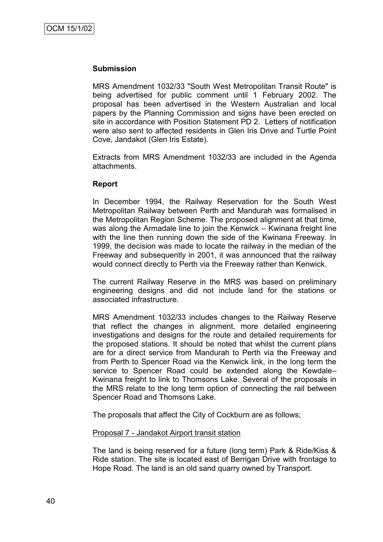#### **Submission**

MRS Amendment 1032/33 "South West Metropolitan Transit Route" is being advertised for public comment until 1 February 2002. The proposal has been advertised in the Western Australian and local papers by the Planning Commission and signs have been erected on site in accordance with Position Statement PD 2. Letters of notification were also sent to affected residents in Glen Iris Drive and Turtle Point Cove, Jandakot (Glen Iris Estate).

Extracts from MRS Amendment 1032/33 are included in the Agenda attachments.

#### **Report**

In December 1994, the Railway Reservation for the South West Metropolitan Railway between Perth and Mandurah was formalised in the Metropolitan Region Scheme. The proposed alignment at that time, was along the Armadale line to join the Kenwick – Kwinana freight line with the line then running down the side of the Kwinana Freeway. In 1999, the decision was made to locate the railway in the median of the Freeway and subsequently in 2001, it was announced that the railway would connect directly to Perth via the Freeway rather than Kenwick.

The current Railway Reserve in the MRS was based on preliminary engineering designs and did not include land for the stations or associated infrastructure.

MRS Amendment 1032/33 includes changes to the Railway Reserve that reflect the changes in alignment, more detailed engineering investigations and designs for the route and detailed requirements for the proposed stations. It should be noted that whilst the current plans are for a direct service from Mandurah to Perth via the Freeway and from Perth to Spencer Road via the Kenwick link, in the long term the service to Spencer Road could be extended along the Kewdale– Kwinana freight to link to Thomsons Lake. Several of the proposals in the MRS relate to the long term option of connecting the rail between Spencer Road and Thomsons Lake.

The proposals that affect the City of Cockburn are as follows;

#### Proposal 7 - Jandakot Airport transit station

The land is being reserved for a future (long term) Park & Ride/Kiss & Ride station. The site is located east of Berrigan Drive with frontage to Hope Road. The land is an old sand quarry owned by Transport.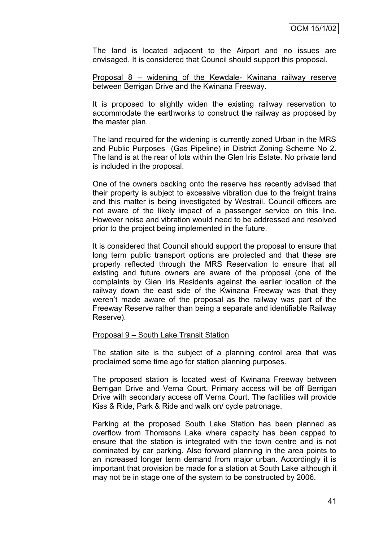The land is located adjacent to the Airport and no issues are envisaged. It is considered that Council should support this proposal.

Proposal 8 – widening of the Kewdale- Kwinana railway reserve between Berrigan Drive and the Kwinana Freeway.

It is proposed to slightly widen the existing railway reservation to accommodate the earthworks to construct the railway as proposed by the master plan.

The land required for the widening is currently zoned Urban in the MRS and Public Purposes (Gas Pipeline) in District Zoning Scheme No 2. The land is at the rear of lots within the Glen Iris Estate. No private land is included in the proposal.

One of the owners backing onto the reserve has recently advised that their property is subject to excessive vibration due to the freight trains and this matter is being investigated by Westrail. Council officers are not aware of the likely impact of a passenger service on this line. However noise and vibration would need to be addressed and resolved prior to the project being implemented in the future.

It is considered that Council should support the proposal to ensure that long term public transport options are protected and that these are properly reflected through the MRS Reservation to ensure that all existing and future owners are aware of the proposal (one of the complaints by Glen Iris Residents against the earlier location of the railway down the east side of the Kwinana Freeway was that they weren't made aware of the proposal as the railway was part of the Freeway Reserve rather than being a separate and identifiable Railway Reserve).

#### Proposal 9 – South Lake Transit Station

The station site is the subject of a planning control area that was proclaimed some time ago for station planning purposes.

The proposed station is located west of Kwinana Freeway between Berrigan Drive and Verna Court. Primary access will be off Berrigan Drive with secondary access off Verna Court. The facilities will provide Kiss & Ride, Park & Ride and walk on/ cycle patronage.

Parking at the proposed South Lake Station has been planned as overflow from Thomsons Lake where capacity has been capped to ensure that the station is integrated with the town centre and is not dominated by car parking. Also forward planning in the area points to an increased longer term demand from major urban. Accordingly it is important that provision be made for a station at South Lake although it may not be in stage one of the system to be constructed by 2006.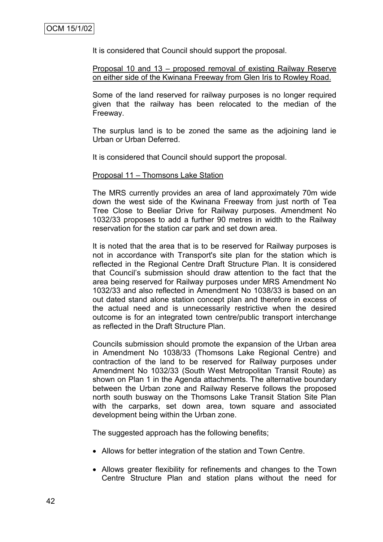It is considered that Council should support the proposal.

Proposal 10 and 13 – proposed removal of existing Railway Reserve on either side of the Kwinana Freeway from Glen Iris to Rowley Road.

Some of the land reserved for railway purposes is no longer required given that the railway has been relocated to the median of the Freeway.

The surplus land is to be zoned the same as the adjoining land ie Urban or Urban Deferred.

It is considered that Council should support the proposal.

#### Proposal 11 – Thomsons Lake Station

The MRS currently provides an area of land approximately 70m wide down the west side of the Kwinana Freeway from just north of Tea Tree Close to Beeliar Drive for Railway purposes. Amendment No 1032/33 proposes to add a further 90 metres in width to the Railway reservation for the station car park and set down area.

It is noted that the area that is to be reserved for Railway purposes is not in accordance with Transport's site plan for the station which is reflected in the Regional Centre Draft Structure Plan. It is considered that Council's submission should draw attention to the fact that the area being reserved for Railway purposes under MRS Amendment No 1032/33 and also reflected in Amendment No 1038/33 is based on an out dated stand alone station concept plan and therefore in excess of the actual need and is unnecessarily restrictive when the desired outcome is for an integrated town centre/public transport interchange as reflected in the Draft Structure Plan.

Councils submission should promote the expansion of the Urban area in Amendment No 1038/33 (Thomsons Lake Regional Centre) and contraction of the land to be reserved for Railway purposes under Amendment No 1032/33 (South West Metropolitan Transit Route) as shown on Plan 1 in the Agenda attachments. The alternative boundary between the Urban zone and Railway Reserve follows the proposed north south busway on the Thomsons Lake Transit Station Site Plan with the carparks, set down area, town square and associated development being within the Urban zone.

The suggested approach has the following benefits;

- Allows for better integration of the station and Town Centre.
- Allows greater flexibility for refinements and changes to the Town Centre Structure Plan and station plans without the need for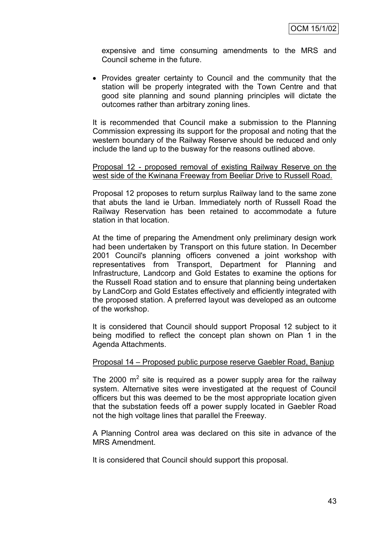expensive and time consuming amendments to the MRS and Council scheme in the future.

• Provides greater certainty to Council and the community that the station will be properly integrated with the Town Centre and that good site planning and sound planning principles will dictate the outcomes rather than arbitrary zoning lines.

It is recommended that Council make a submission to the Planning Commission expressing its support for the proposal and noting that the western boundary of the Railway Reserve should be reduced and only include the land up to the busway for the reasons outlined above.

#### Proposal 12 - proposed removal of existing Railway Reserve on the west side of the Kwinana Freeway from Beeliar Drive to Russell Road.

Proposal 12 proposes to return surplus Railway land to the same zone that abuts the land ie Urban. Immediately north of Russell Road the Railway Reservation has been retained to accommodate a future station in that location.

At the time of preparing the Amendment only preliminary design work had been undertaken by Transport on this future station. In December 2001 Council's planning officers convened a joint workshop with representatives from Transport, Department for Planning and Infrastructure, Landcorp and Gold Estates to examine the options for the Russell Road station and to ensure that planning being undertaken by LandCorp and Gold Estates effectively and efficiently integrated with the proposed station. A preferred layout was developed as an outcome of the workshop.

It is considered that Council should support Proposal 12 subject to it being modified to reflect the concept plan shown on Plan 1 in the Agenda Attachments.

#### Proposal 14 – Proposed public purpose reserve Gaebler Road, Banjup

The 2000  $m^2$  site is required as a power supply area for the railway system. Alternative sites were investigated at the request of Council officers but this was deemed to be the most appropriate location given that the substation feeds off a power supply located in Gaebler Road not the high voltage lines that parallel the Freeway.

A Planning Control area was declared on this site in advance of the MRS Amendment.

It is considered that Council should support this proposal.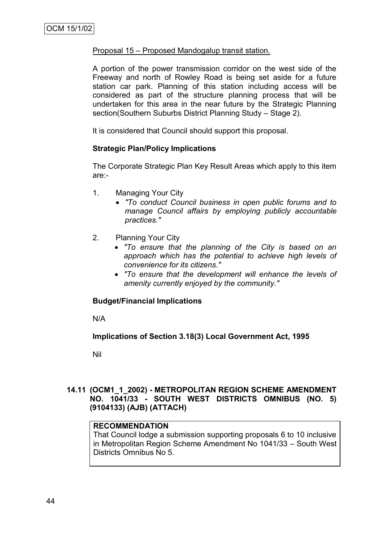### Proposal 15 – Proposed Mandogalup transit station.

A portion of the power transmission corridor on the west side of the Freeway and north of Rowley Road is being set aside for a future station car park. Planning of this station including access will be considered as part of the structure planning process that will be undertaken for this area in the near future by the Strategic Planning section(Southern Suburbs District Planning Study – Stage 2).

It is considered that Council should support this proposal.

## **Strategic Plan/Policy Implications**

The Corporate Strategic Plan Key Result Areas which apply to this item are:-

- 1. Managing Your City
	- *"To conduct Council business in open public forums and to manage Council affairs by employing publicly accountable practices."*
- 2. Planning Your City
	- *"To ensure that the planning of the City is based on an approach which has the potential to achieve high levels of convenience for its citizens."*
	- *"To ensure that the development will enhance the levels of amenity currently enjoyed by the community."*

#### **Budget/Financial Implications**

N/A

## **Implications of Section 3.18(3) Local Government Act, 1995**

Nil

## **14.11 (OCM1\_1\_2002) - METROPOLITAN REGION SCHEME AMENDMENT NO. 1041/33 - SOUTH WEST DISTRICTS OMNIBUS (NO. 5) (9104133) (AJB) (ATTACH)**

#### **RECOMMENDATION**

That Council lodge a submission supporting proposals 6 to 10 inclusive in Metropolitan Region Scheme Amendment No 1041/33 – South West Districts Omnibus No 5.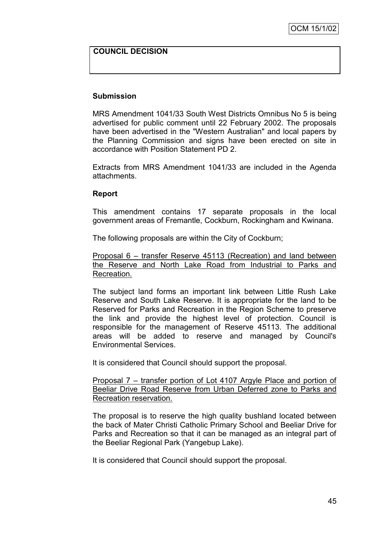## **COUNCIL DECISION**

#### **Submission**

MRS Amendment 1041/33 South West Districts Omnibus No 5 is being advertised for public comment until 22 February 2002. The proposals have been advertised in the "Western Australian" and local papers by the Planning Commission and signs have been erected on site in accordance with Position Statement PD 2.

Extracts from MRS Amendment 1041/33 are included in the Agenda attachments.

#### **Report**

This amendment contains 17 separate proposals in the local government areas of Fremantle, Cockburn, Rockingham and Kwinana.

The following proposals are within the City of Cockburn;

Proposal 6 – transfer Reserve 45113 (Recreation) and land between the Reserve and North Lake Road from Industrial to Parks and Recreation.

The subject land forms an important link between Little Rush Lake Reserve and South Lake Reserve. It is appropriate for the land to be Reserved for Parks and Recreation in the Region Scheme to preserve the link and provide the highest level of protection. Council is responsible for the management of Reserve 45113. The additional areas will be added to reserve and managed by Council's Environmental Services.

It is considered that Council should support the proposal.

Proposal 7 – transfer portion of Lot 4107 Argyle Place and portion of Beeliar Drive Road Reserve from Urban Deferred zone to Parks and Recreation reservation.

The proposal is to reserve the high quality bushland located between the back of Mater Christi Catholic Primary School and Beeliar Drive for Parks and Recreation so that it can be managed as an integral part of the Beeliar Regional Park (Yangebup Lake).

It is considered that Council should support the proposal.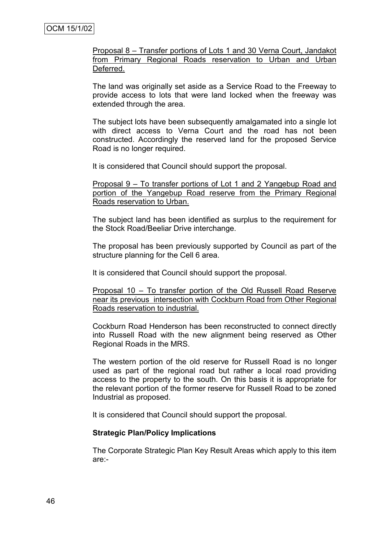Proposal 8 – Transfer portions of Lots 1 and 30 Verna Court, Jandakot from Primary Regional Roads reservation to Urban and Urban Deferred.

The land was originally set aside as a Service Road to the Freeway to provide access to lots that were land locked when the freeway was extended through the area.

The subject lots have been subsequently amalgamated into a single lot with direct access to Verna Court and the road has not been constructed. Accordingly the reserved land for the proposed Service Road is no longer required.

It is considered that Council should support the proposal.

Proposal 9 – To transfer portions of Lot 1 and 2 Yangebup Road and portion of the Yangebup Road reserve from the Primary Regional Roads reservation to Urban.

The subject land has been identified as surplus to the requirement for the Stock Road/Beeliar Drive interchange.

The proposal has been previously supported by Council as part of the structure planning for the Cell 6 area.

It is considered that Council should support the proposal.

Proposal 10 – To transfer portion of the Old Russell Road Reserve near its previous intersection with Cockburn Road from Other Regional Roads reservation to industrial.

Cockburn Road Henderson has been reconstructed to connect directly into Russell Road with the new alignment being reserved as Other Regional Roads in the MRS.

The western portion of the old reserve for Russell Road is no longer used as part of the regional road but rather a local road providing access to the property to the south. On this basis it is appropriate for the relevant portion of the former reserve for Russell Road to be zoned Industrial as proposed.

It is considered that Council should support the proposal.

#### **Strategic Plan/Policy Implications**

The Corporate Strategic Plan Key Result Areas which apply to this item are:-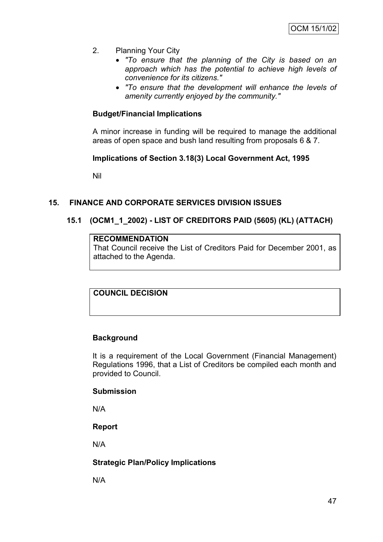- 2. Planning Your City
	- *"To ensure that the planning of the City is based on an approach which has the potential to achieve high levels of convenience for its citizens."*
	- *"To ensure that the development will enhance the levels of amenity currently enjoyed by the community."*

## **Budget/Financial Implications**

A minor increase in funding will be required to manage the additional areas of open space and bush land resulting from proposals 6 & 7.

#### **Implications of Section 3.18(3) Local Government Act, 1995**

Nil

## **15. FINANCE AND CORPORATE SERVICES DIVISION ISSUES**

## **15.1 (OCM1\_1\_2002) - LIST OF CREDITORS PAID (5605) (KL) (ATTACH)**

# **RECOMMENDATION**

That Council receive the List of Creditors Paid for December 2001, as attached to the Agenda.

**COUNCIL DECISION**

## **Background**

It is a requirement of the Local Government (Financial Management) Regulations 1996, that a List of Creditors be compiled each month and provided to Council.

## **Submission**

N/A

## **Report**

N/A

## **Strategic Plan/Policy Implications**

N/A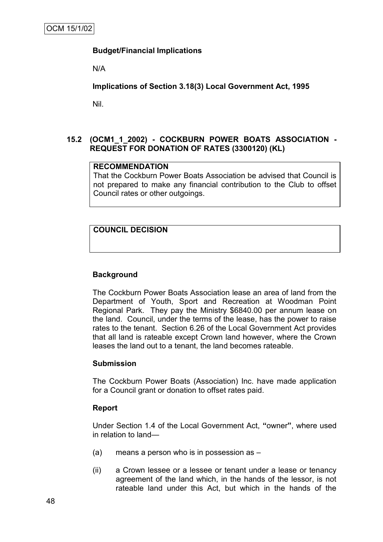# **Budget/Financial Implications**

N/A

**Implications of Section 3.18(3) Local Government Act, 1995**

Nil.

## **15.2 (OCM1\_1\_2002) - COCKBURN POWER BOATS ASSOCIATION - REQUEST FOR DONATION OF RATES (3300120) (KL)**

# **RECOMMENDATION**

That the Cockburn Power Boats Association be advised that Council is not prepared to make any financial contribution to the Club to offset Council rates or other outgoings.

# **COUNCIL DECISION**

## **Background**

The Cockburn Power Boats Association lease an area of land from the Department of Youth, Sport and Recreation at Woodman Point Regional Park. They pay the Ministry \$6840.00 per annum lease on the land. Council, under the terms of the lease, has the power to raise rates to the tenant. Section 6.26 of the Local Government Act provides that all land is rateable except Crown land however, where the Crown leases the land out to a tenant, the land becomes rateable.

## **Submission**

The Cockburn Power Boats (Association) Inc. have made application for a Council grant or donation to offset rates paid.

#### **Report**

Under Section 1.4 of the Local Government Act, **"**owner**"**, where used in relation to land—

- (a) means a person who is in possession as –
- (ii) a Crown lessee or a lessee or tenant under a lease or tenancy agreement of the land which, in the hands of the lessor, is not rateable land under this Act, but which in the hands of the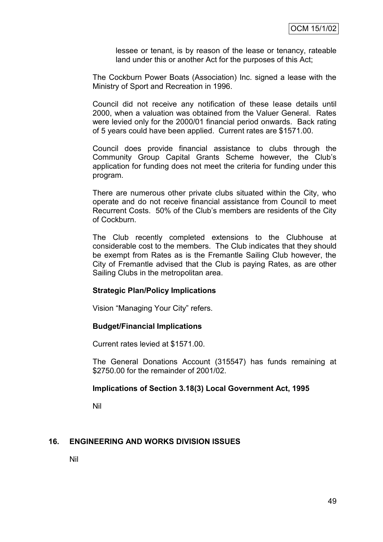lessee or tenant, is by reason of the lease or tenancy, rateable land under this or another Act for the purposes of this Act;

The Cockburn Power Boats (Association) Inc. signed a lease with the Ministry of Sport and Recreation in 1996.

Council did not receive any notification of these lease details until 2000, when a valuation was obtained from the Valuer General. Rates were levied only for the 2000/01 financial period onwards. Back rating of 5 years could have been applied. Current rates are \$1571.00.

Council does provide financial assistance to clubs through the Community Group Capital Grants Scheme however, the Club's application for funding does not meet the criteria for funding under this program.

There are numerous other private clubs situated within the City, who operate and do not receive financial assistance from Council to meet Recurrent Costs. 50% of the Club's members are residents of the City of Cockburn.

The Club recently completed extensions to the Clubhouse at considerable cost to the members. The Club indicates that they should be exempt from Rates as is the Fremantle Sailing Club however, the City of Fremantle advised that the Club is paying Rates, as are other Sailing Clubs in the metropolitan area.

## **Strategic Plan/Policy Implications**

Vision "Managing Your City" refers.

## **Budget/Financial Implications**

Current rates levied at \$1571.00.

The General Donations Account (315547) has funds remaining at \$2750.00 for the remainder of 2001/02.

## **Implications of Section 3.18(3) Local Government Act, 1995**

Nil

## **16. ENGINEERING AND WORKS DIVISION ISSUES**

Nil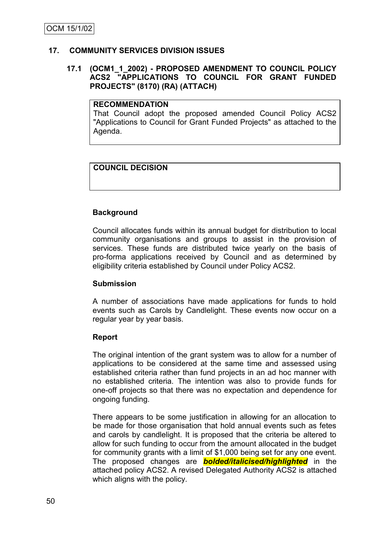## **17. COMMUNITY SERVICES DIVISION ISSUES**

#### **17.1 (OCM1\_1\_2002) - PROPOSED AMENDMENT TO COUNCIL POLICY ACS2 "APPLICATIONS TO COUNCIL FOR GRANT FUNDED PROJECTS" (8170) (RA) (ATTACH)**

## **RECOMMENDATION**

That Council adopt the proposed amended Council Policy ACS2 "Applications to Council for Grant Funded Projects" as attached to the Agenda.

# **COUNCIL DECISION**

## **Background**

Council allocates funds within its annual budget for distribution to local community organisations and groups to assist in the provision of services. These funds are distributed twice yearly on the basis of pro-forma applications received by Council and as determined by eligibility criteria established by Council under Policy ACS2.

## **Submission**

A number of associations have made applications for funds to hold events such as Carols by Candlelight. These events now occur on a regular year by year basis.

## **Report**

The original intention of the grant system was to allow for a number of applications to be considered at the same time and assessed using established criteria rather than fund projects in an ad hoc manner with no established criteria. The intention was also to provide funds for one-off projects so that there was no expectation and dependence for ongoing funding.

There appears to be some justification in allowing for an allocation to be made for those organisation that hold annual events such as fetes and carols by candlelight. It is proposed that the criteria be altered to allow for such funding to occur from the amount allocated in the budget for community grants with a limit of \$1,000 being set for any one event. The proposed changes are *bolded/italicised/highlighted* in the attached policy ACS2. A revised Delegated Authority ACS2 is attached which aligns with the policy.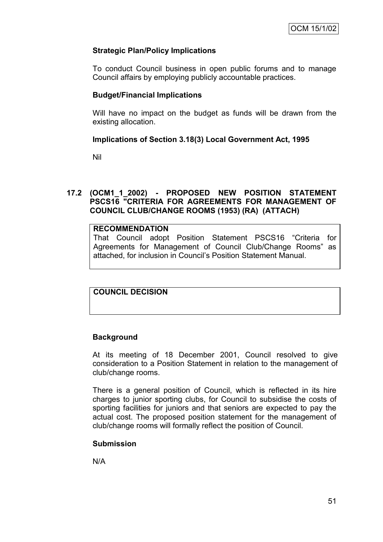# **Strategic Plan/Policy Implications**

To conduct Council business in open public forums and to manage Council affairs by employing publicly accountable practices.

## **Budget/Financial Implications**

Will have no impact on the budget as funds will be drawn from the existing allocation.

## **Implications of Section 3.18(3) Local Government Act, 1995**

Nil

## **17.2 (OCM1\_1\_2002) - PROPOSED NEW POSITION STATEMENT PSCS16 "CRITERIA FOR AGREEMENTS FOR MANAGEMENT OF COUNCIL CLUB/CHANGE ROOMS (1953) (RA) (ATTACH)**

#### **RECOMMENDATION**

That Council adopt Position Statement PSCS16 "Criteria for Agreements for Management of Council Club/Change Rooms" as attached, for inclusion in Council's Position Statement Manual.

# **COUNCIL DECISION**

## **Background**

At its meeting of 18 December 2001, Council resolved to give consideration to a Position Statement in relation to the management of club/change rooms.

There is a general position of Council, which is reflected in its hire charges to junior sporting clubs, for Council to subsidise the costs of sporting facilities for juniors and that seniors are expected to pay the actual cost. The proposed position statement for the management of club/change rooms will formally reflect the position of Council.

## **Submission**

N/A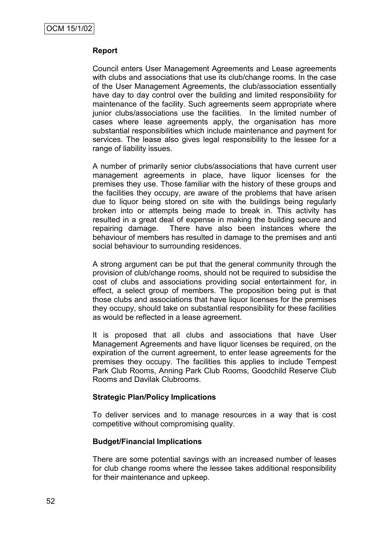## **Report**

Council enters User Management Agreements and Lease agreements with clubs and associations that use its club/change rooms. In the case of the User Management Agreements, the club/association essentially have day to day control over the building and limited responsibility for maintenance of the facility. Such agreements seem appropriate where junior clubs/associations use the facilities. In the limited number of cases where lease agreements apply, the organisation has more substantial responsibilities which include maintenance and payment for services. The lease also gives legal responsibility to the lessee for a range of liability issues.

A number of primarily senior clubs/associations that have current user management agreements in place, have liquor licenses for the premises they use. Those familiar with the history of these groups and the facilities they occupy, are aware of the problems that have arisen due to liquor being stored on site with the buildings being regularly broken into or attempts being made to break in. This activity has resulted in a great deal of expense in making the building secure and repairing damage. There have also been instances where the behaviour of members has resulted in damage to the premises and anti social behaviour to surrounding residences.

A strong argument can be put that the general community through the provision of club/change rooms, should not be required to subsidise the cost of clubs and associations providing social entertainment for, in effect, a select group of members. The proposition being put is that those clubs and associations that have liquor licenses for the premises they occupy, should take on substantial responsibility for these facilities as would be reflected in a lease agreement.

It is proposed that all clubs and associations that have User Management Agreements and have liquor licenses be required, on the expiration of the current agreement, to enter lease agreements for the premises they occupy. The facilities this applies to include Tempest Park Club Rooms, Anning Park Club Rooms, Goodchild Reserve Club Rooms and Davilak Clubrooms.

## **Strategic Plan/Policy Implications**

To deliver services and to manage resources in a way that is cost competitive without compromising quality.

#### **Budget/Financial Implications**

There are some potential savings with an increased number of leases for club change rooms where the lessee takes additional responsibility for their maintenance and upkeep.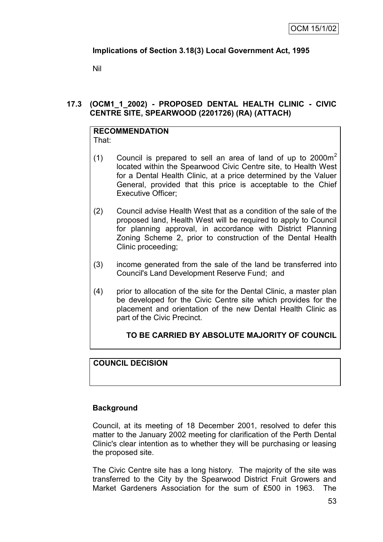# **Implications of Section 3.18(3) Local Government Act, 1995**

Nil

## **17.3 (OCM1\_1\_2002) - PROPOSED DENTAL HEALTH CLINIC - CIVIC CENTRE SITE, SPEARWOOD (2201726) (RA) (ATTACH)**

#### **RECOMMENDATION** That:

- (1) Council is prepared to sell an area of land of up to  $2000m<sup>2</sup>$ located within the Spearwood Civic Centre site, to Health West for a Dental Health Clinic, at a price determined by the Valuer General, provided that this price is acceptable to the Chief Executive Officer;
- (2) Council advise Health West that as a condition of the sale of the proposed land, Health West will be required to apply to Council for planning approval, in accordance with District Planning Zoning Scheme 2, prior to construction of the Dental Health Clinic proceeding;
- (3) income generated from the sale of the land be transferred into Council's Land Development Reserve Fund; and
- (4) prior to allocation of the site for the Dental Clinic, a master plan be developed for the Civic Centre site which provides for the placement and orientation of the new Dental Health Clinic as part of the Civic Precinct.

# **TO BE CARRIED BY ABSOLUTE MAJORITY OF COUNCIL**

# **COUNCIL DECISION**

# **Background**

Council, at its meeting of 18 December 2001, resolved to defer this matter to the January 2002 meeting for clarification of the Perth Dental Clinic's clear intention as to whether they will be purchasing or leasing the proposed site.

The Civic Centre site has a long history. The majority of the site was transferred to the City by the Spearwood District Fruit Growers and Market Gardeners Association for the sum of ₤500 in 1963. The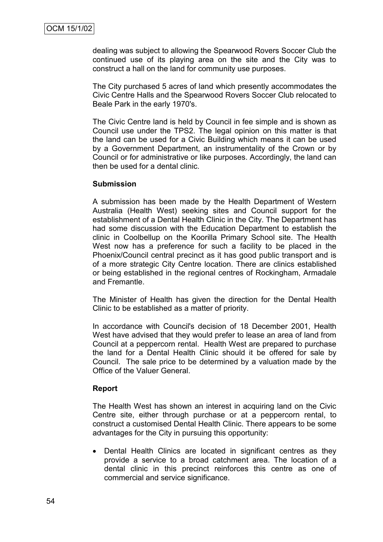dealing was subject to allowing the Spearwood Rovers Soccer Club the continued use of its playing area on the site and the City was to construct a hall on the land for community use purposes.

The City purchased 5 acres of land which presently accommodates the Civic Centre Halls and the Spearwood Rovers Soccer Club relocated to Beale Park in the early 1970's.

The Civic Centre land is held by Council in fee simple and is shown as Council use under the TPS2. The legal opinion on this matter is that the land can be used for a Civic Building which means it can be used by a Government Department, an instrumentality of the Crown or by Council or for administrative or like purposes. Accordingly, the land can then be used for a dental clinic.

#### **Submission**

A submission has been made by the Health Department of Western Australia (Health West) seeking sites and Council support for the establishment of a Dental Health Clinic in the City. The Department has had some discussion with the Education Department to establish the clinic in Coolbellup on the Koorilla Primary School site. The Health West now has a preference for such a facility to be placed in the Phoenix/Council central precinct as it has good public transport and is of a more strategic City Centre location. There are clinics established or being established in the regional centres of Rockingham, Armadale and Fremantle.

The Minister of Health has given the direction for the Dental Health Clinic to be established as a matter of priority.

In accordance with Council's decision of 18 December 2001, Health West have advised that they would prefer to lease an area of land from Council at a peppercorn rental. Health West are prepared to purchase the land for a Dental Health Clinic should it be offered for sale by Council. The sale price to be determined by a valuation made by the Office of the Valuer General.

## **Report**

The Health West has shown an interest in acquiring land on the Civic Centre site, either through purchase or at a peppercorn rental, to construct a customised Dental Health Clinic. There appears to be some advantages for the City in pursuing this opportunity:

• Dental Health Clinics are located in significant centres as they provide a service to a broad catchment area. The location of a dental clinic in this precinct reinforces this centre as one of commercial and service significance.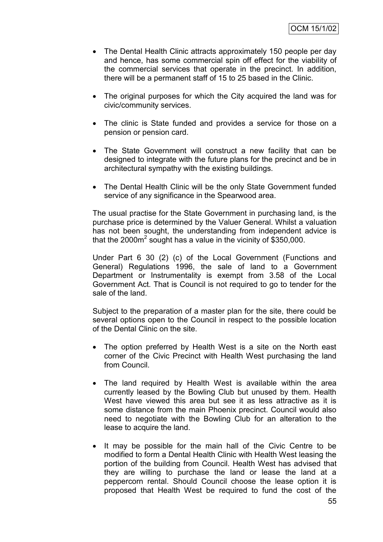- The Dental Health Clinic attracts approximately 150 people per day and hence, has some commercial spin off effect for the viability of the commercial services that operate in the precinct. In addition, there will be a permanent staff of 15 to 25 based in the Clinic.
- The original purposes for which the City acquired the land was for civic/community services.
- The clinic is State funded and provides a service for those on a pension or pension card.
- The State Government will construct a new facility that can be designed to integrate with the future plans for the precinct and be in architectural sympathy with the existing buildings.
- The Dental Health Clinic will be the only State Government funded service of any significance in the Spearwood area.

The usual practise for the State Government in purchasing land, is the purchase price is determined by the Valuer General. Whilst a valuation has not been sought, the understanding from independent advice is that the 2000 $m^2$  sought has a value in the vicinity of \$350,000.

Under Part 6 30 (2) (c) of the Local Government (Functions and General) Regulations 1996, the sale of land to a Government Department or Instrumentality is exempt from 3.58 of the Local Government Act. That is Council is not required to go to tender for the sale of the land.

Subject to the preparation of a master plan for the site, there could be several options open to the Council in respect to the possible location of the Dental Clinic on the site.

- The option preferred by Health West is a site on the North east corner of the Civic Precinct with Health West purchasing the land from Council.
- The land required by Health West is available within the area currently leased by the Bowling Club but unused by them. Health West have viewed this area but see it as less attractive as it is some distance from the main Phoenix precinct. Council would also need to negotiate with the Bowling Club for an alteration to the lease to acquire the land.
- It may be possible for the main hall of the Civic Centre to be modified to form a Dental Health Clinic with Health West leasing the portion of the building from Council. Health West has advised that they are willing to purchase the land or lease the land at a peppercorn rental. Should Council choose the lease option it is proposed that Health West be required to fund the cost of the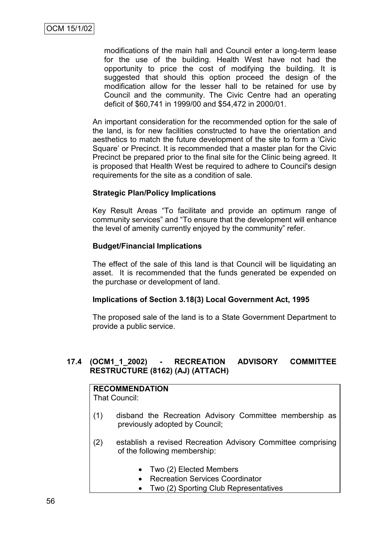modifications of the main hall and Council enter a long-term lease for the use of the building. Health West have not had the opportunity to price the cost of modifying the building. It is suggested that should this option proceed the design of the modification allow for the lesser hall to be retained for use by Council and the community. The Civic Centre had an operating deficit of \$60,741 in 1999/00 and \$54,472 in 2000/01.

An important consideration for the recommended option for the sale of the land, is for new facilities constructed to have the orientation and aesthetics to match the future development of the site to form a 'Civic Square' or Precinct. It is recommended that a master plan for the Civic Precinct be prepared prior to the final site for the Clinic being agreed. It is proposed that Health West be required to adhere to Council's design requirements for the site as a condition of sale.

## **Strategic Plan/Policy Implications**

Key Result Areas "To facilitate and provide an optimum range of community services" and "To ensure that the development will enhance the level of amenity currently enjoyed by the community" refer.

#### **Budget/Financial Implications**

The effect of the sale of this land is that Council will be liquidating an asset. It is recommended that the funds generated be expended on the purchase or development of land.

#### **Implications of Section 3.18(3) Local Government Act, 1995**

The proposed sale of the land is to a State Government Department to provide a public service.

## **17.4 (OCM1\_1\_2002) - RECREATION ADVISORY COMMITTEE RESTRUCTURE (8162) (AJ) (ATTACH)**

# **RECOMMENDATION**

That Council:

- (1) disband the Recreation Advisory Committee membership as previously adopted by Council;
- (2) establish a revised Recreation Advisory Committee comprising of the following membership:
	- Two (2) Elected Members
	- Recreation Services Coordinator
	- Two (2) Sporting Club Representatives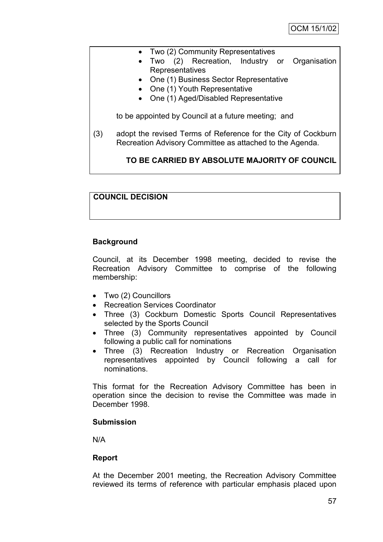- Two (2) Community Representatives
- Two (2) Recreation, Industry or Organisation **Representatives**
- One (1) Business Sector Representative
- One (1) Youth Representative
- One (1) Aged/Disabled Representative

to be appointed by Council at a future meeting; and

(3) adopt the revised Terms of Reference for the City of Cockburn Recreation Advisory Committee as attached to the Agenda.

# **TO BE CARRIED BY ABSOLUTE MAJORITY OF COUNCIL**

## **COUNCIL DECISION**

# **Background**

Council, at its December 1998 meeting, decided to revise the Recreation Advisory Committee to comprise of the following membership:

- Two (2) Councillors
- Recreation Services Coordinator
- Three (3) Cockburn Domestic Sports Council Representatives selected by the Sports Council
- Three (3) Community representatives appointed by Council following a public call for nominations
- Three (3) Recreation Industry or Recreation Organisation representatives appointed by Council following a call for nominations.

This format for the Recreation Advisory Committee has been in operation since the decision to revise the Committee was made in December 1998.

## **Submission**

N/A

## **Report**

At the December 2001 meeting, the Recreation Advisory Committee reviewed its terms of reference with particular emphasis placed upon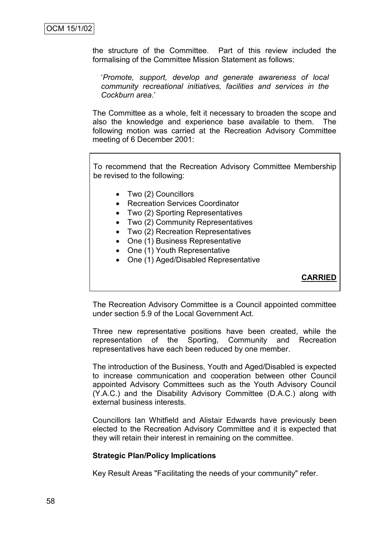the structure of the Committee. Part of this review included the formalising of the Committee Mission Statement as follows:

‗*Promote, support, develop and generate awareness of local community recreational initiatives, facilities and services in the Cockburn area*.'

The Committee as a whole, felt it necessary to broaden the scope and also the knowledge and experience base available to them. The following motion was carried at the Recreation Advisory Committee meeting of 6 December 2001:

To recommend that the Recreation Advisory Committee Membership be revised to the following:

- Two (2) Councillors
- Recreation Services Coordinator
- Two (2) Sporting Representatives
- Two (2) Community Representatives
- Two (2) Recreation Representatives
- One (1) Business Representative
- One (1) Youth Representative
- One (1) Aged/Disabled Representative

**CARRIED**

The Recreation Advisory Committee is a Council appointed committee under section 5.9 of the Local Government Act.

Three new representative positions have been created, while the representation of the Sporting, Community and Recreation representatives have each been reduced by one member.

The introduction of the Business, Youth and Aged/Disabled is expected to increase communication and cooperation between other Council appointed Advisory Committees such as the Youth Advisory Council (Y.A.C.) and the Disability Advisory Committee (D.A.C.) along with external business interests.

Councillors Ian Whitfield and Alistair Edwards have previously been elected to the Recreation Advisory Committee and it is expected that they will retain their interest in remaining on the committee.

#### **Strategic Plan/Policy Implications**

Key Result Areas "Facilitating the needs of your community" refer.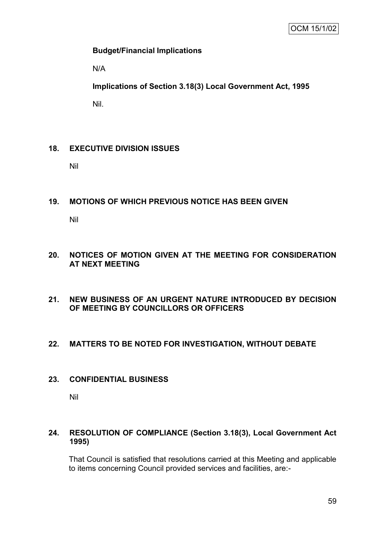## **Budget/Financial Implications**

N/A

**Implications of Section 3.18(3) Local Government Act, 1995**

Nil.

# **18. EXECUTIVE DIVISION ISSUES**

Nil

# **19. MOTIONS OF WHICH PREVIOUS NOTICE HAS BEEN GIVEN**

Nil

# **20. NOTICES OF MOTION GIVEN AT THE MEETING FOR CONSIDERATION AT NEXT MEETING**

## **21. NEW BUSINESS OF AN URGENT NATURE INTRODUCED BY DECISION OF MEETING BY COUNCILLORS OR OFFICERS**

## **22. MATTERS TO BE NOTED FOR INVESTIGATION, WITHOUT DEBATE**

## **23. CONFIDENTIAL BUSINESS**

Nil

## **24. RESOLUTION OF COMPLIANCE (Section 3.18(3), Local Government Act 1995)**

That Council is satisfied that resolutions carried at this Meeting and applicable to items concerning Council provided services and facilities, are:-